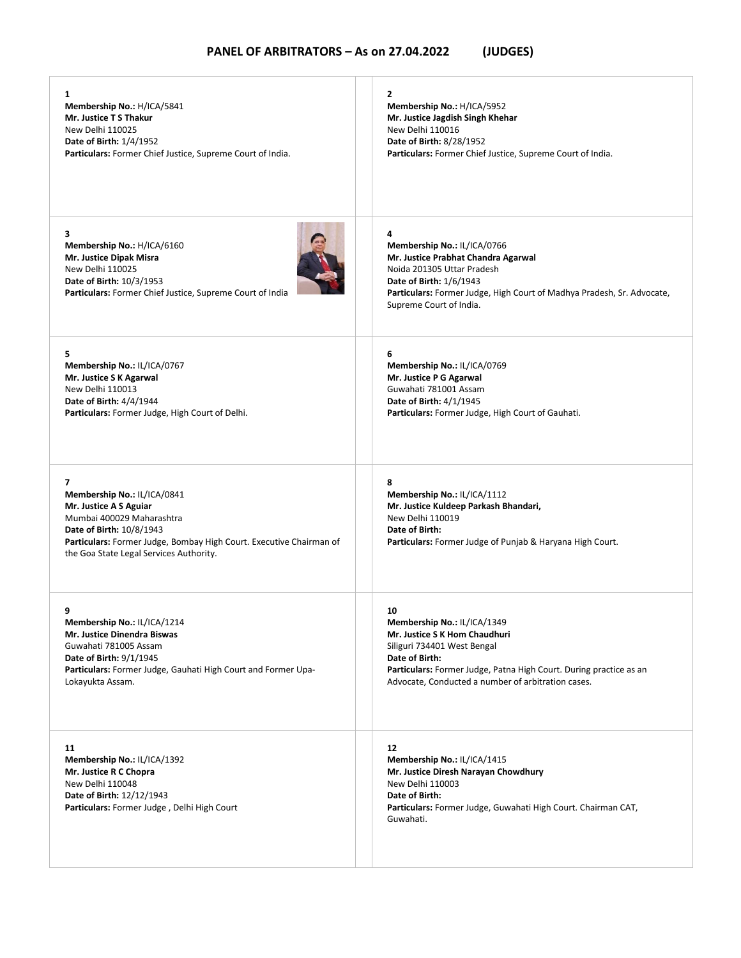| 1                                                                                                                                                                                                                                     | 2                                                                                                                                                                                                                                     |
|---------------------------------------------------------------------------------------------------------------------------------------------------------------------------------------------------------------------------------------|---------------------------------------------------------------------------------------------------------------------------------------------------------------------------------------------------------------------------------------|
| Membership No.: H/ICA/5841                                                                                                                                                                                                            | Membership No.: H/ICA/5952                                                                                                                                                                                                            |
| Mr. Justice T S Thakur                                                                                                                                                                                                                | Mr. Justice Jagdish Singh Khehar                                                                                                                                                                                                      |
| New Delhi 110025                                                                                                                                                                                                                      | New Delhi 110016                                                                                                                                                                                                                      |
| Date of Birth: 1/4/1952                                                                                                                                                                                                               | Date of Birth: 8/28/1952                                                                                                                                                                                                              |
| Particulars: Former Chief Justice, Supreme Court of India.                                                                                                                                                                            | Particulars: Former Chief Justice, Supreme Court of India.                                                                                                                                                                            |
| 3<br>Membership No.: H/ICA/6160<br>Mr. Justice Dipak Misra<br>New Delhi 110025<br>Date of Birth: 10/3/1953<br>Particulars: Former Chief Justice, Supreme Court of India                                                               | 4<br>Membership No.: IL/ICA/0766<br>Mr. Justice Prabhat Chandra Agarwal<br>Noida 201305 Uttar Pradesh<br>Date of Birth: 1/6/1943<br>Particulars: Former Judge, High Court of Madhya Pradesh, Sr. Advocate,<br>Supreme Court of India. |
| 5.                                                                                                                                                                                                                                    | 6                                                                                                                                                                                                                                     |
| Membership No.: IL/ICA/0767                                                                                                                                                                                                           | Membership No.: IL/ICA/0769                                                                                                                                                                                                           |
| Mr. Justice S K Agarwal                                                                                                                                                                                                               | Mr. Justice P G Agarwal                                                                                                                                                                                                               |
| New Delhi 110013                                                                                                                                                                                                                      | Guwahati 781001 Assam                                                                                                                                                                                                                 |
| Date of Birth: 4/4/1944                                                                                                                                                                                                               | Date of Birth: 4/1/1945                                                                                                                                                                                                               |
| Particulars: Former Judge, High Court of Delhi.                                                                                                                                                                                       | Particulars: Former Judge, High Court of Gauhati.                                                                                                                                                                                     |
| 7<br>Membership No.: IL/ICA/0841<br>Mr. Justice A S Aguiar<br>Mumbai 400029 Maharashtra<br>Date of Birth: 10/8/1943<br>Particulars: Former Judge, Bombay High Court. Executive Chairman of<br>the Goa State Legal Services Authority. | 8<br>Membership No.: IL/ICA/1112<br>Mr. Justice Kuldeep Parkash Bhandari,<br>New Delhi 110019<br>Date of Birth:<br>Particulars: Former Judge of Punjab & Haryana High Court.                                                          |
| 9                                                                                                                                                                                                                                     | 10                                                                                                                                                                                                                                    |
| Membership No.: IL/ICA/1214                                                                                                                                                                                                           | Membership No.: IL/ICA/1349                                                                                                                                                                                                           |
| Mr. Justice Dinendra Biswas                                                                                                                                                                                                           | Mr. Justice S K Hom Chaudhuri                                                                                                                                                                                                         |
| Guwahati 781005 Assam                                                                                                                                                                                                                 | Siliguri 734401 West Bengal                                                                                                                                                                                                           |
| Date of Birth: 9/1/1945                                                                                                                                                                                                               | Date of Birth:                                                                                                                                                                                                                        |
| Particulars: Former Judge, Gauhati High Court and Former Upa-                                                                                                                                                                         | Particulars: Former Judge, Patna High Court. During practice as an                                                                                                                                                                    |
| Lokayukta Assam.                                                                                                                                                                                                                      | Advocate, Conducted a number of arbitration cases.                                                                                                                                                                                    |
| 11<br>Membership No.: IL/ICA/1392<br>Mr. Justice R C Chopra<br>New Delhi 110048<br>Date of Birth: 12/12/1943<br>Particulars: Former Judge, Delhi High Court                                                                           | 12<br>Membership No.: IL/ICA/1415<br>Mr. Justice Diresh Narayan Chowdhury<br>New Delhi 110003<br>Date of Birth:<br>Particulars: Former Judge, Guwahati High Court. Chairman CAT,<br>Guwahati.                                         |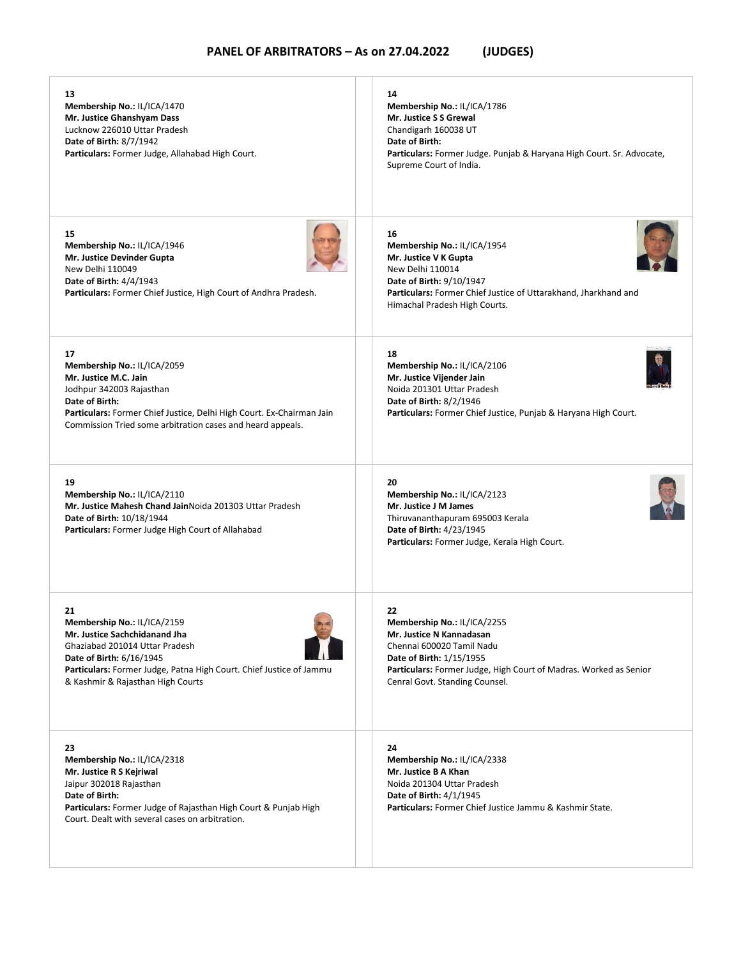| 13<br>Membership No.: IL/ICA/1470<br>Mr. Justice Ghanshyam Dass<br>Lucknow 226010 Uttar Pradesh<br>Date of Birth: 8/7/1942<br>Particulars: Former Judge, Allahabad High Court.                                                                             | 14<br>Membership No.: IL/ICA/1786<br>Mr. Justice S S Grewal<br>Chandigarh 160038 UT<br>Date of Birth:<br>Particulars: Former Judge. Punjab & Haryana High Court. Sr. Advocate,<br>Supreme Court of India.                     |
|------------------------------------------------------------------------------------------------------------------------------------------------------------------------------------------------------------------------------------------------------------|-------------------------------------------------------------------------------------------------------------------------------------------------------------------------------------------------------------------------------|
| 15<br>Membership No.: IL/ICA/1946<br>Mr. Justice Devinder Gupta<br>New Delhi 110049<br>Date of Birth: 4/4/1943<br>Particulars: Former Chief Justice, High Court of Andhra Pradesh.                                                                         | 16<br>Membership No.: IL/ICA/1954<br>Mr. Justice V K Gupta<br>New Delhi 110014<br>Date of Birth: 9/10/1947<br>Particulars: Former Chief Justice of Uttarakhand, Jharkhand and<br>Himachal Pradesh High Courts.                |
| 17<br>Membership No.: IL/ICA/2059<br>Mr. Justice M.C. Jain<br>Jodhpur 342003 Rajasthan<br>Date of Birth:<br>Particulars: Former Chief Justice, Delhi High Court. Ex-Chairman Jain<br>Commission Tried some arbitration cases and heard appeals.            | 18<br>Membership No.: IL/ICA/2106<br>Mr. Justice Vijender Jain<br>Noida 201301 Uttar Pradesh<br>Date of Birth: 8/2/1946<br>Particulars: Former Chief Justice, Punjab & Haryana High Court.                                    |
| 19<br>Membership No.: IL/ICA/2110<br>Mr. Justice Mahesh Chand JainNoida 201303 Uttar Pradesh<br>Date of Birth: 10/18/1944<br>Particulars: Former Judge High Court of Allahabad                                                                             | 20<br>Membership No.: IL/ICA/2123<br>Mr. Justice J M James<br>Thiruvananthapuram 695003 Kerala<br>Date of Birth: 4/23/1945<br>Particulars: Former Judge, Kerala High Court.                                                   |
| 21<br><b>Membership No.: IL/ICA/2159</b><br>Mr. Justice Sachchidanand Jha<br>Ghaziabad 201014 Uttar Pradesh<br><b>Date of Birth: 6/16/1945</b><br>Particulars: Former Judge, Patna High Court. Chief Justice of Jammu<br>& Kashmir & Rajasthan High Courts | 22<br>Membership No.: IL/ICA/2255<br>Mr. Justice N Kannadasan<br>Chennai 600020 Tamil Nadu<br>Date of Birth: 1/15/1955<br>Particulars: Former Judge, High Court of Madras. Worked as Senior<br>Cenral Govt. Standing Counsel. |
| 23<br>Membership No.: IL/ICA/2318<br>Mr. Justice R S Kejriwal<br>Jaipur 302018 Rajasthan<br>Date of Birth:<br>Particulars: Former Judge of Rajasthan High Court & Punjab High<br>Court. Dealt with several cases on arbitration.                           | 24<br>Membership No.: IL/ICA/2338<br>Mr. Justice B A Khan<br>Noida 201304 Uttar Pradesh<br>Date of Birth: 4/1/1945<br>Particulars: Former Chief Justice Jammu & Kashmir State.                                                |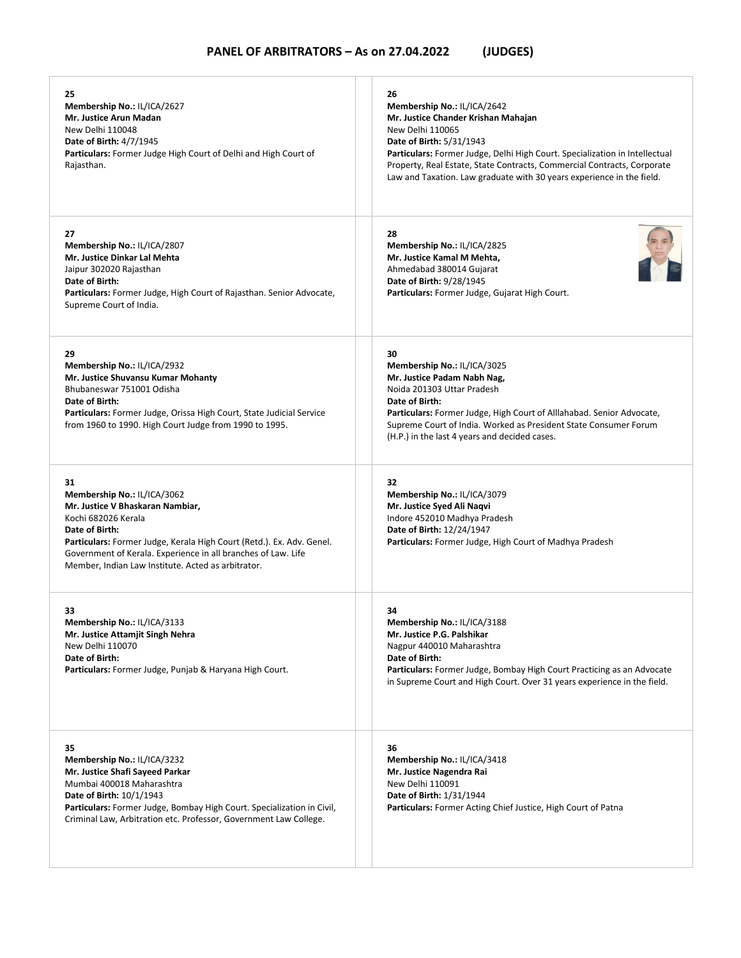| 25<br>Membership No.: IL/ICA/2627<br>Mr. Justice Arun Madan<br>New Delhi 110048<br><b>Date of Birth: 4/7/1945</b><br>Particulars: Former Judge High Court of Delhi and High Court of<br>Rajasthan.                                                                                                             | 26<br>Membership No.: IL/ICA/2642<br>Mr. Justice Chander Krishan Mahajan<br>New Delhi 110065<br>Date of Birth: 5/31/1943<br>Particulars: Former Judge, Delhi High Court. Specialization in Intellectual<br>Property, Real Estate, State Contracts, Commercial Contracts, Corporate<br>Law and Taxation. Law graduate with 30 years experience in the field. |
|----------------------------------------------------------------------------------------------------------------------------------------------------------------------------------------------------------------------------------------------------------------------------------------------------------------|-------------------------------------------------------------------------------------------------------------------------------------------------------------------------------------------------------------------------------------------------------------------------------------------------------------------------------------------------------------|
| 27<br>Membership No.: IL/ICA/2807<br>Mr. Justice Dinkar Lal Mehta<br>Jaipur 302020 Rajasthan<br>Date of Birth:<br>Particulars: Former Judge, High Court of Rajasthan. Senior Advocate,<br>Supreme Court of India.                                                                                              | 28<br>Membership No.: IL/ICA/2825<br>Mr. Justice Kamal M Mehta,<br>Ahmedabad 380014 Gujarat<br><b>Date of Birth: 9/28/1945</b><br>Particulars: Former Judge, Gujarat High Court.                                                                                                                                                                            |
| 29<br>Membership No.: IL/ICA/2932<br>Mr. Justice Shuvansu Kumar Mohanty<br>Bhubaneswar 751001 Odisha<br>Date of Birth:<br>Particulars: Former Judge, Orissa High Court, State Judicial Service<br>from 1960 to 1990. High Court Judge from 1990 to 1995.                                                       | 30<br>Membership No.: IL/ICA/3025<br>Mr. Justice Padam Nabh Nag,<br>Noida 201303 Uttar Pradesh<br>Date of Birth:<br><b>Particulars:</b> Former Judge, High Court of Alllahabad. Senior Advocate,<br>Supreme Court of India. Worked as President State Consumer Forum<br>(H.P.) in the last 4 years and decided cases.                                       |
| 31<br>Membership No.: IL/ICA/3062<br>Mr. Justice V Bhaskaran Nambiar,<br>Kochi 682026 Kerala<br>Date of Birth:<br>Particulars: Former Judge, Kerala High Court (Retd.). Ex. Adv. Genel.<br>Government of Kerala. Experience in all branches of Law. Life<br>Member, Indian Law Institute. Acted as arbitrator. | 32<br>Membership No.: IL/ICA/3079<br>Mr. Justice Syed Ali Naqvi<br>Indore 452010 Madhya Pradesh<br>Date of Birth: 12/24/1947<br>Particulars: Former Judge, High Court of Madhya Pradesh                                                                                                                                                                     |
| 33<br>Membership No.: IL/ICA/3133<br>Mr. Justice Attamjit Singh Nehra<br>New Delhi 110070<br>Date of Birth:<br>Particulars: Former Judge, Punjab & Haryana High Court.                                                                                                                                         | 34<br>Membership No.: IL/ICA/3188<br>Mr. Justice P.G. Palshikar<br>Nagpur 440010 Maharashtra<br>Date of Birth:<br>Particulars: Former Judge, Bombay High Court Practicing as an Advocate<br>in Supreme Court and High Court. Over 31 years experience in the field.                                                                                         |
| 35<br>Membership No.: IL/ICA/3232<br>Mr. Justice Shafi Sayeed Parkar<br>Mumbai 400018 Maharashtra<br>Date of Birth: 10/1/1943<br>Particulars: Former Judge, Bombay High Court. Specialization in Civil,<br>Criminal Law, Arbitration etc. Professor, Government Law College.                                   | 36<br>Membership No.: IL/ICA/3418<br>Mr. Justice Nagendra Rai<br>New Delhi 110091<br>Date of Birth: 1/31/1944<br><b>Particulars:</b> Former Acting Chief Justice, High Court of Patna                                                                                                                                                                       |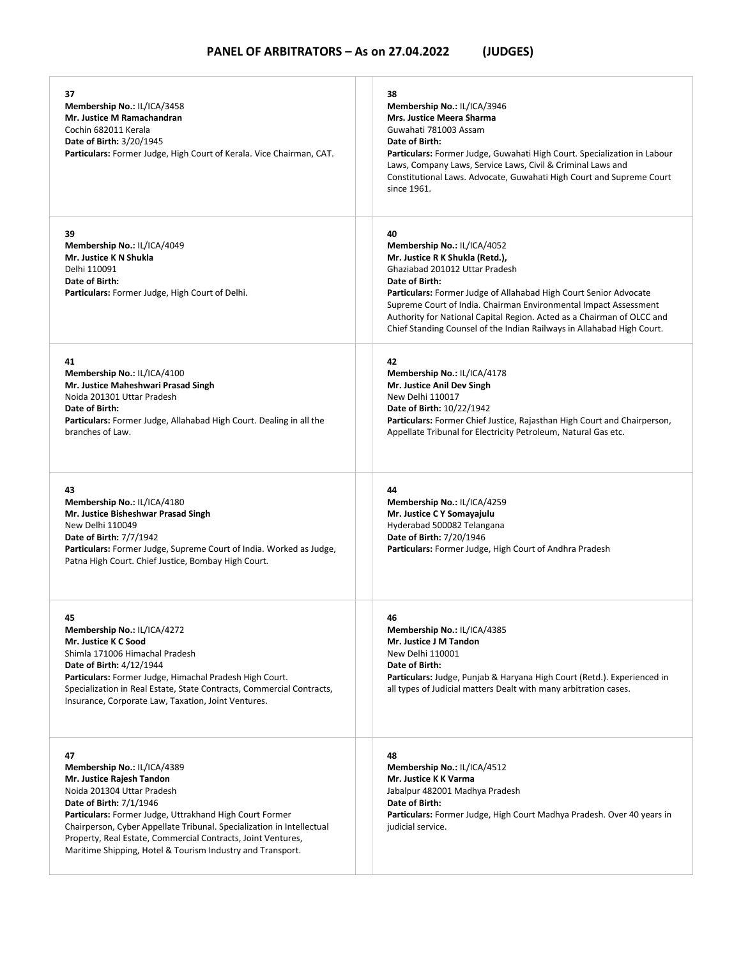| 37<br>Membership No.: IL/ICA/3458<br>Mr. Justice M Ramachandran<br>Cochin 682011 Kerala<br><b>Date of Birth: 3/20/1945</b><br>Particulars: Former Judge, High Court of Kerala. Vice Chairman, CAT.                                                                                                                                                                                        | 38<br>Membership No.: IL/ICA/3946<br>Mrs. Justice Meera Sharma<br>Guwahati 781003 Assam<br>Date of Birth:<br>Particulars: Former Judge, Guwahati High Court. Specialization in Labour<br>Laws, Company Laws, Service Laws, Civil & Criminal Laws and<br>Constitutional Laws. Advocate, Guwahati High Court and Supreme Court<br>since 1961.                                                                                  |
|-------------------------------------------------------------------------------------------------------------------------------------------------------------------------------------------------------------------------------------------------------------------------------------------------------------------------------------------------------------------------------------------|------------------------------------------------------------------------------------------------------------------------------------------------------------------------------------------------------------------------------------------------------------------------------------------------------------------------------------------------------------------------------------------------------------------------------|
| 39<br>Membership No.: IL/ICA/4049<br>Mr. Justice K N Shukla<br>Delhi 110091<br>Date of Birth:<br>Particulars: Former Judge, High Court of Delhi.                                                                                                                                                                                                                                          | 40<br>Membership No.: IL/ICA/4052<br>Mr. Justice R K Shukla (Retd.),<br>Ghaziabad 201012 Uttar Pradesh<br>Date of Birth:<br><b>Particulars:</b> Former Judge of Allahabad High Court Senior Advocate<br>Supreme Court of India. Chairman Environmental Impact Assessment<br>Authority for National Capital Region. Acted as a Chairman of OLCC and<br>Chief Standing Counsel of the Indian Railways in Allahabad High Court. |
| 41<br>Membership No.: IL/ICA/4100<br>Mr. Justice Maheshwari Prasad Singh<br>Noida 201301 Uttar Pradesh<br>Date of Birth:<br><b>Particulars:</b> Former Judge, Allahabad High Court. Dealing in all the<br>branches of Law.                                                                                                                                                                | 42<br>Membership No.: IL/ICA/4178<br>Mr. Justice Anil Dev Singh<br>New Delhi 110017<br>Date of Birth: 10/22/1942<br>Particulars: Former Chief Justice, Rajasthan High Court and Chairperson,<br>Appellate Tribunal for Electricity Petroleum, Natural Gas etc.                                                                                                                                                               |
| 43<br>Membership No.: IL/ICA/4180<br>Mr. Justice Bisheshwar Prasad Singh<br>New Delhi 110049<br>Date of Birth: 7/7/1942<br>Particulars: Former Judge, Supreme Court of India. Worked as Judge,<br>Patna High Court. Chief Justice, Bombay High Court.                                                                                                                                     | 44<br>Membership No.: IL/ICA/4259<br>Mr. Justice C Y Somayajulu<br>Hyderabad 500082 Telangana<br>Date of Birth: 7/20/1946<br>Particulars: Former Judge, High Court of Andhra Pradesh                                                                                                                                                                                                                                         |
| 45<br>Membership No.: IL/ICA/4272<br>Mr. Justice K C Sood<br>Shimla 171006 Himachal Pradesh<br>Date of Birth: 4/12/1944<br>Particulars: Former Judge, Himachal Pradesh High Court.<br>Specialization in Real Estate, State Contracts, Commercial Contracts,<br>Insurance, Corporate Law, Taxation, Joint Ventures.                                                                        | 46<br>Membership No.: IL/ICA/4385<br>Mr. Justice J M Tandon<br>New Delhi 110001<br>Date of Birth:<br>Particulars: Judge, Punjab & Haryana High Court (Retd.). Experienced in<br>all types of Judicial matters Dealt with many arbitration cases.                                                                                                                                                                             |
| 47<br>Membership No.: IL/ICA/4389<br>Mr. Justice Rajesh Tandon<br>Noida 201304 Uttar Pradesh<br>Date of Birth: 7/1/1946<br>Particulars: Former Judge, Uttrakhand High Court Former<br>Chairperson, Cyber Appellate Tribunal. Specialization in Intellectual<br>Property, Real Estate, Commercial Contracts, Joint Ventures,<br>Maritime Shipping, Hotel & Tourism Industry and Transport. | 48<br>Membership No.: IL/ICA/4512<br>Mr. Justice K K Varma<br>Jabalpur 482001 Madhya Pradesh<br>Date of Birth:<br>Particulars: Former Judge, High Court Madhya Pradesh. Over 40 years in<br>judicial service.                                                                                                                                                                                                                |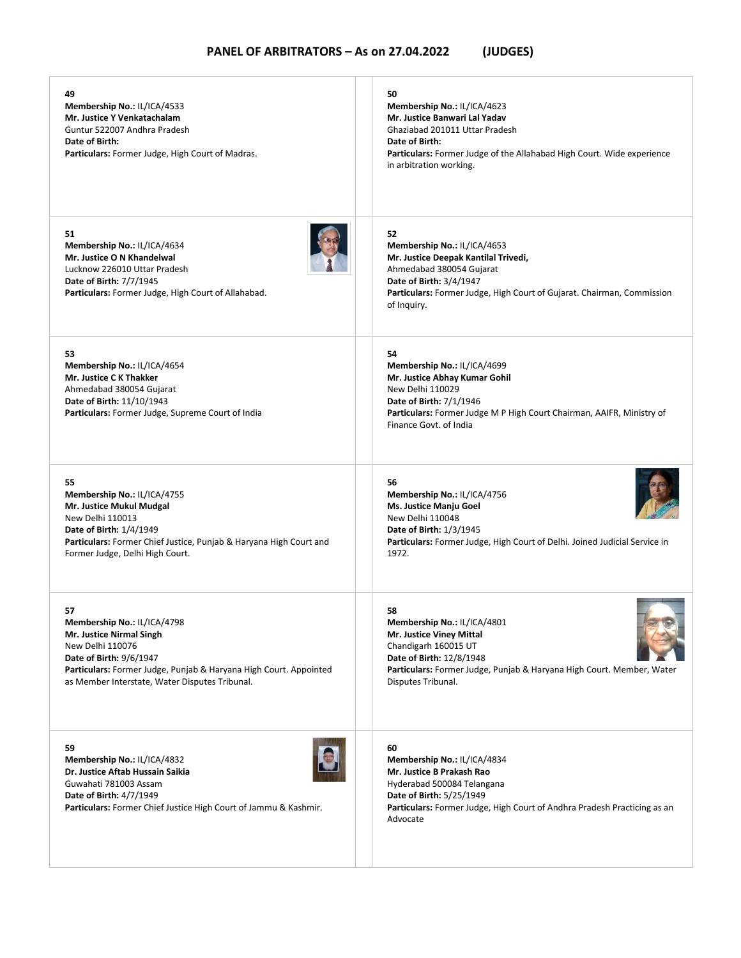| 49<br>Membership No.: IL/ICA/4533<br>Mr. Justice Y Venkatachalam<br>Guntur 522007 Andhra Pradesh<br>Date of Birth:<br>Particulars: Former Judge, High Court of Madras.                                                                     | 50<br>Membership No.: IL/ICA/4623<br>Mr. Justice Banwari Lal Yadav<br>Ghaziabad 201011 Uttar Pradesh<br>Date of Birth:<br><b>Particulars:</b> Former Judge of the Allahabad High Court. Wide experience<br>in arbitration working. |
|--------------------------------------------------------------------------------------------------------------------------------------------------------------------------------------------------------------------------------------------|------------------------------------------------------------------------------------------------------------------------------------------------------------------------------------------------------------------------------------|
| 51<br>Membership No.: IL/ICA/4634<br>Mr. Justice O N Khandelwal<br>Lucknow 226010 Uttar Pradesh<br>Date of Birth: 7/7/1945<br>Particulars: Former Judge, High Court of Allahabad.                                                          | 52<br>Membership No.: IL/ICA/4653<br>Mr. Justice Deepak Kantilal Trivedi,<br>Ahmedabad 380054 Gujarat<br>Date of Birth: 3/4/1947<br>Particulars: Former Judge, High Court of Gujarat. Chairman, Commission<br>of Inquiry.          |
| 53<br>Membership No.: IL/ICA/4654<br>Mr. Justice C K Thakker<br>Ahmedabad 380054 Gujarat<br>Date of Birth: 11/10/1943<br>Particulars: Former Judge, Supreme Court of India                                                                 | 54<br>Membership No.: IL/ICA/4699<br>Mr. Justice Abhay Kumar Gohil<br>New Delhi 110029<br>Date of Birth: 7/1/1946<br>Particulars: Former Judge M P High Court Chairman, AAIFR, Ministry of<br>Finance Govt, of India               |
| 55<br>Membership No.: IL/ICA/4755<br>Mr. Justice Mukul Mudgal<br>New Delhi 110013<br>Date of Birth: 1/4/1949<br>Particulars: Former Chief Justice, Punjab & Haryana High Court and<br>Former Judge, Delhi High Court.                      | 56<br>Membership No.: IL/ICA/4756<br>Ms. Justice Manju Goel<br>New Delhi 110048<br>Date of Birth: 1/3/1945<br>Particulars: Former Judge, High Court of Delhi. Joined Judicial Service in<br>1972.                                  |
| 57<br>Membership No.: IL/ICA/4798<br>Mr. Justice Nirmal Singh<br>New Delhi 110076<br><b>Date of Birth: 9/6/1947</b><br>Particulars: Former Judge, Punjab & Haryana High Court. Appointed<br>as Member Interstate, Water Disputes Tribunal. | 58<br>Membership No.: IL/ICA/4801<br>Mr. Justice Viney Mittal<br>Chandigarh 160015 UT<br><b>Date of Birth: 12/8/1948</b><br>Particulars: Former Judge, Punjab & Haryana High Court. Member, Water<br>Disputes Tribunal.            |
| 59<br>Membership No.: IL/ICA/4832<br>Dr. Justice Aftab Hussain Saikia<br>Guwahati 781003 Assam<br>Date of Birth: 4/7/1949<br><b>Particulars:</b> Former Chief Justice High Court of Jammu & Kashmir.                                       | 60<br>Membership No.: IL/ICA/4834<br>Mr. Justice B Prakash Rao<br>Hyderabad 500084 Telangana<br>Date of Birth: 5/25/1949<br><b>Particulars:</b> Former Judge, High Court of Andhra Pradesh Practicing as an<br>Advocate            |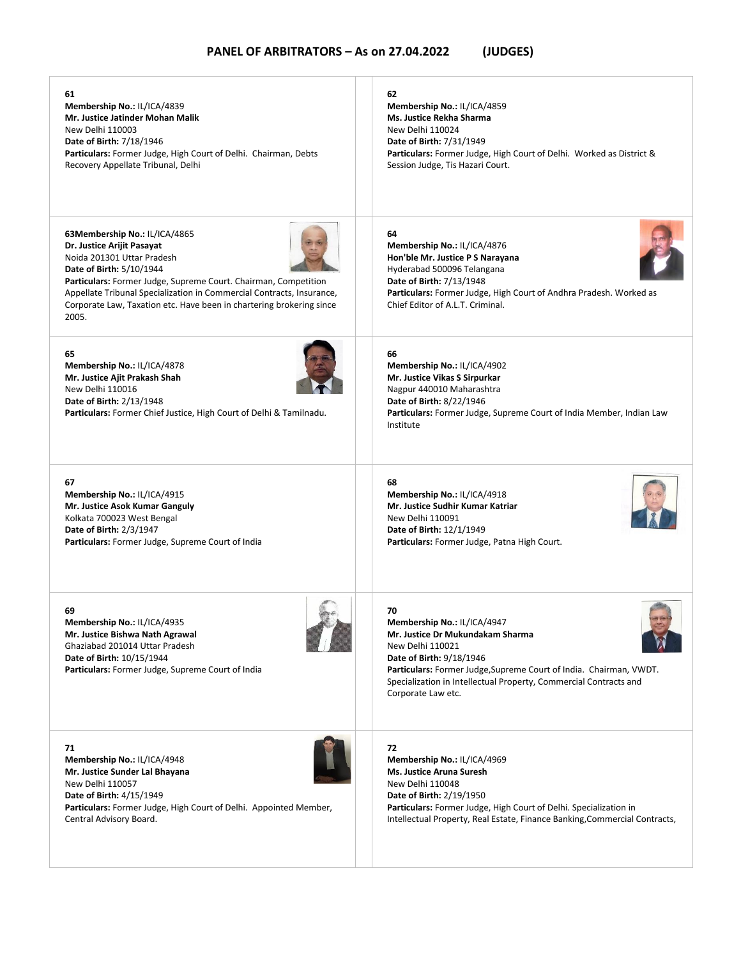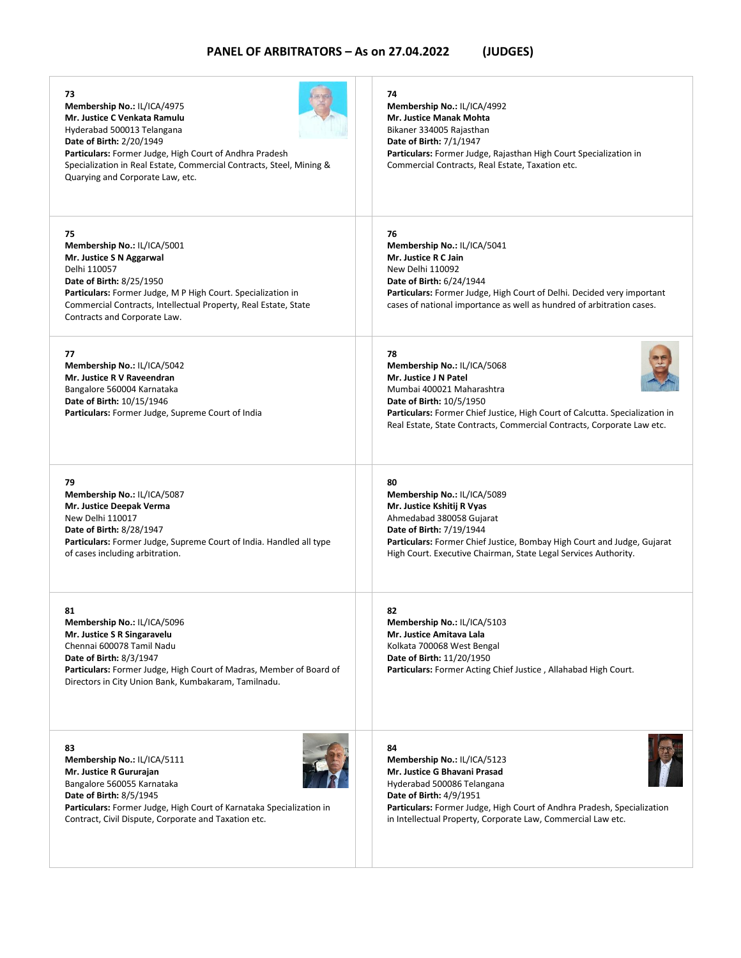| 73<br>Membership No.: IL/ICA/4975<br>Mr. Justice C Venkata Ramulu<br>Hyderabad 500013 Telangana<br>Date of Birth: 2/20/1949<br>Particulars: Former Judge, High Court of Andhra Pradesh<br>Specialization in Real Estate, Commercial Contracts, Steel, Mining &<br>Quarying and Corporate Law, etc. | 74<br>Membership No.: IL/ICA/4992<br><b>Mr. Justice Manak Mohta</b><br>Bikaner 334005 Rajasthan<br>Date of Birth: 7/1/1947<br>Particulars: Former Judge, Rajasthan High Court Specialization in<br>Commercial Contracts, Real Estate, Taxation etc.                           |
|----------------------------------------------------------------------------------------------------------------------------------------------------------------------------------------------------------------------------------------------------------------------------------------------------|-------------------------------------------------------------------------------------------------------------------------------------------------------------------------------------------------------------------------------------------------------------------------------|
| 75<br>Membership No.: IL/ICA/5001<br>Mr. Justice S N Aggarwal<br>Delhi 110057<br>Date of Birth: 8/25/1950<br>Particulars: Former Judge, M P High Court. Specialization in<br>Commercial Contracts, Intellectual Property, Real Estate, State<br>Contracts and Corporate Law.                       | 76<br>Membership No.: IL/ICA/5041<br>Mr. Justice R C Jain<br>New Delhi 110092<br>Date of Birth: 6/24/1944<br>Particulars: Former Judge, High Court of Delhi. Decided very important<br>cases of national importance as well as hundred of arbitration cases.                  |
| 77<br>Membership No.: IL/ICA/5042<br>Mr. Justice R V Raveendran<br>Bangalore 560004 Karnataka<br>Date of Birth: 10/15/1946<br>Particulars: Former Judge, Supreme Court of India                                                                                                                    | 78<br>Membership No.: IL/ICA/5068<br>Mr. Justice J N Patel<br>Mumbai 400021 Maharashtra<br>Date of Birth: 10/5/1950<br>Particulars: Former Chief Justice, High Court of Calcutta. Specialization in<br>Real Estate, State Contracts, Commercial Contracts, Corporate Law etc. |
| 79<br>Membership No.: IL/ICA/5087<br>Mr. Justice Deepak Verma<br>New Delhi 110017<br>Date of Birth: 8/28/1947<br>Particulars: Former Judge, Supreme Court of India. Handled all type<br>of cases including arbitration.                                                                            | 80<br>Membership No.: IL/ICA/5089<br>Mr. Justice Kshitij R Vyas<br>Ahmedabad 380058 Gujarat<br>Date of Birth: 7/19/1944<br>Particulars: Former Chief Justice, Bombay High Court and Judge, Gujarat<br>High Court. Executive Chairman, State Legal Services Authority.         |
| 81<br>Membership No.: IL/ICA/5096<br>Mr. Justice S R Singaravelu<br>Chennai 600078 Tamil Nadu<br>Date of Birth: 8/3/1947<br><b>Particulars:</b> Former Judge, High Court of Madras, Member of Board of<br>Directors in City Union Bank, Kumbakaram, Tamilnadu.                                     | 82<br>Membership No.: IL/ICA/5103<br>Mr. Justice Amitava Lala<br>Kolkata 700068 West Bengal<br>Date of Birth: 11/20/1950<br>Particulars: Former Acting Chief Justice, Allahabad High Court.                                                                                   |
| 83<br>Membership No.: IL/ICA/5111<br>Mr. Justice R Gururajan<br>Bangalore 560055 Karnataka<br>Date of Birth: 8/5/1945<br>Particulars: Former Judge, High Court of Karnataka Specialization in<br>Contract, Civil Dispute, Corporate and Taxation etc.                                              | 84<br>Membership No.: IL/ICA/5123<br>Mr. Justice G Bhavani Prasad<br>Hyderabad 500086 Telangana<br>Date of Birth: 4/9/1951<br>Particulars: Former Judge, High Court of Andhra Pradesh, Specialization<br>in Intellectual Property, Corporate Law, Commercial Law etc.         |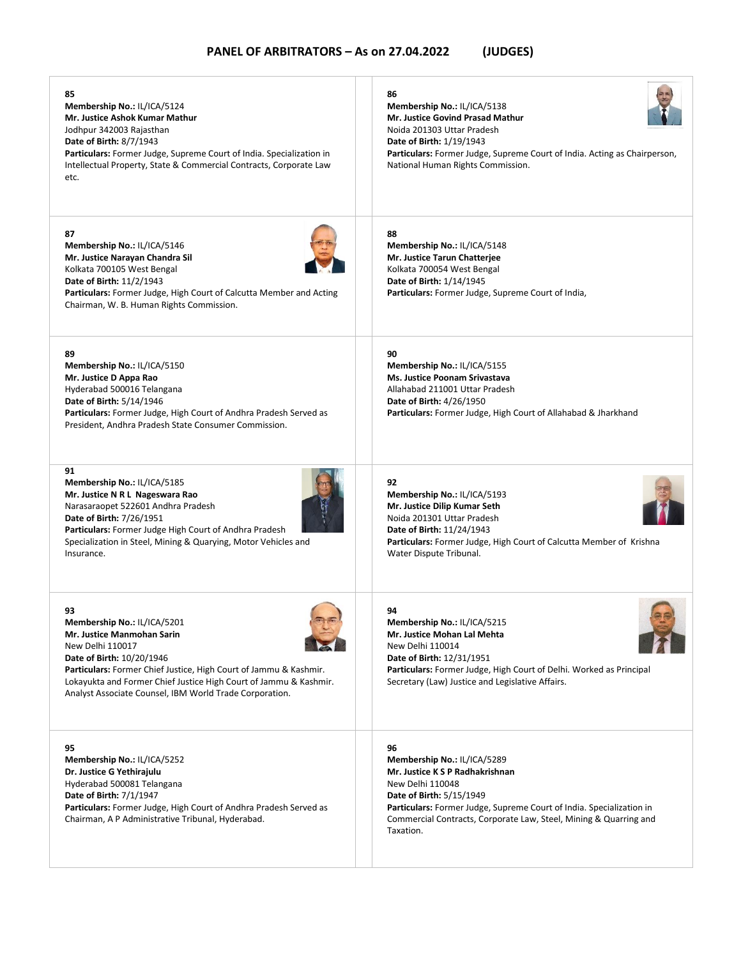| 85<br>Membership No.: IL/ICA/5124<br>Mr. Justice Ashok Kumar Mathur<br>Jodhpur 342003 Rajasthan<br><b>Date of Birth: 8/7/1943</b><br><b>Particulars:</b> Former Judge, Supreme Court of India. Specialization in<br>Intellectual Property, State & Commercial Contracts, Corporate Law<br>etc.                                      | 86<br>Membership No.: IL/ICA/5138<br>Mr. Justice Govind Prasad Mathur<br>Noida 201303 Uttar Pradesh<br><b>Date of Birth: 1/19/1943</b><br><b>Particulars:</b> Former Judge, Supreme Court of India. Acting as Chairperson,<br>National Human Rights Commission.                       |
|-------------------------------------------------------------------------------------------------------------------------------------------------------------------------------------------------------------------------------------------------------------------------------------------------------------------------------------|---------------------------------------------------------------------------------------------------------------------------------------------------------------------------------------------------------------------------------------------------------------------------------------|
| 87<br>Membership No.: IL/ICA/5146<br>Mr. Justice Narayan Chandra Sil<br>Kolkata 700105 West Bengal<br>Date of Birth: 11/2/1943<br>Particulars: Former Judge, High Court of Calcutta Member and Acting<br>Chairman, W. B. Human Rights Commission.                                                                                   | 88<br>Membership No.: IL/ICA/5148<br>Mr. Justice Tarun Chatterjee<br>Kolkata 700054 West Bengal<br>Date of Birth: 1/14/1945<br>Particulars: Former Judge, Supreme Court of India,                                                                                                     |
| 89<br>Membership No.: IL/ICA/5150<br>Mr. Justice D Appa Rao<br>Hyderabad 500016 Telangana<br>Date of Birth: 5/14/1946<br><b>Particulars:</b> Former Judge, High Court of Andhra Pradesh Served as<br>President, Andhra Pradesh State Consumer Commission.                                                                           | 90<br>Membership No.: IL/ICA/5155<br>Ms. Justice Poonam Srivastava<br>Allahabad 211001 Uttar Pradesh<br><b>Date of Birth: 4/26/1950</b><br>Particulars: Former Judge, High Court of Allahabad & Jharkhand                                                                             |
| 91<br>Membership No.: IL/ICA/5185<br>Mr. Justice N R L Nageswara Rao<br>Narasaraopet 522601 Andhra Pradesh<br><b>Date of Birth: 7/26/1951</b><br>Particulars: Former Judge High Court of Andhra Pradesh<br>Specialization in Steel, Mining & Quarying, Motor Vehicles and<br>Insurance.                                             | 92<br>Membership No.: IL/ICA/5193<br>Mr. Justice Dilip Kumar Seth<br>Noida 201301 Uttar Pradesh<br>Date of Birth: 11/24/1943<br>Particulars: Former Judge, High Court of Calcutta Member of Krishna<br>Water Dispute Tribunal.                                                        |
| 93<br>Membership No.: IL/ICA/5201<br><b>Mr. Justice Manmohan Sarin</b><br>New Delhi 110017<br>Date of Birth: 10/20/1946<br><b>Particulars:</b> Former Chief Justice, High Court of Jammu & Kashmir.<br>Lokayukta and Former Chief Justice High Court of Jammu & Kashmir.<br>Analyst Associate Counsel, IBM World Trade Corporation. | 94<br>Membership No.: IL/ICA/5215<br>Mr. Justice Mohan Lal Mehta<br>New Delhi 110014<br>Date of Birth: 12/31/1951<br><b>Particulars:</b> Former Judge, High Court of Delhi. Worked as Principal<br>Secretary (Law) Justice and Legislative Affairs.                                   |
| 95<br>Membership No.: IL/ICA/5252<br>Dr. Justice G Yethirajulu<br>Hyderabad 500081 Telangana<br>Date of Birth: 7/1/1947<br>Particulars: Former Judge, High Court of Andhra Pradesh Served as<br>Chairman, A P Administrative Tribunal, Hyderabad.                                                                                   | 96<br>Membership No.: IL/ICA/5289<br>Mr. Justice K S P Radhakrishnan<br>New Delhi 110048<br><b>Date of Birth: 5/15/1949</b><br>Particulars: Former Judge, Supreme Court of India. Specialization in<br>Commercial Contracts, Corporate Law, Steel, Mining & Quarring and<br>Taxation. |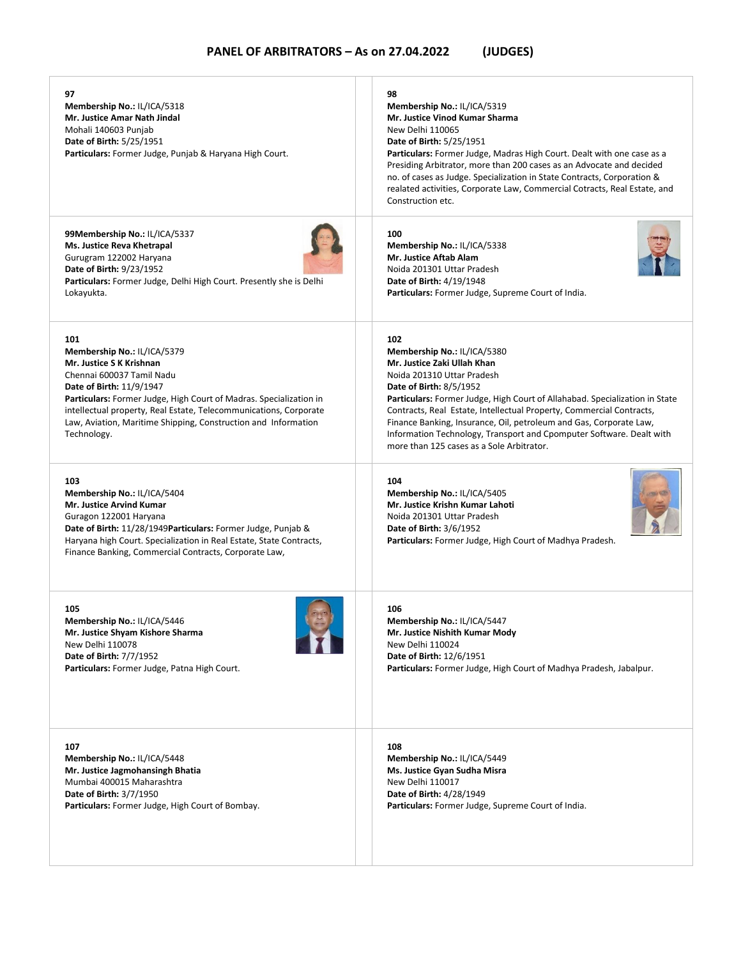| 97<br>Membership No.: IL/ICA/5318<br>Mr. Justice Amar Nath Jindal<br>Mohali 140603 Punjab<br><b>Date of Birth: 5/25/1951</b><br>Particulars: Former Judge, Punjab & Haryana High Court.                                                                                                                                                                    | 98<br>Membership No.: IL/ICA/5319<br>Mr. Justice Vinod Kumar Sharma<br>New Delhi 110065<br><b>Date of Birth: 5/25/1951</b><br>Particulars: Former Judge, Madras High Court. Dealt with one case as a<br>Presiding Arbitrator, more than 200 cases as an Advocate and decided<br>no. of cases as Judge. Specialization in State Contracts, Corporation &<br>realated activities, Corporate Law, Commercial Cotracts, Real Estate, and<br>Construction etc.                           |
|------------------------------------------------------------------------------------------------------------------------------------------------------------------------------------------------------------------------------------------------------------------------------------------------------------------------------------------------------------|-------------------------------------------------------------------------------------------------------------------------------------------------------------------------------------------------------------------------------------------------------------------------------------------------------------------------------------------------------------------------------------------------------------------------------------------------------------------------------------|
| 99Membership No.: IL/ICA/5337                                                                                                                                                                                                                                                                                                                              | 100                                                                                                                                                                                                                                                                                                                                                                                                                                                                                 |
| Ms. Justice Reva Khetrapal                                                                                                                                                                                                                                                                                                                                 | Membership No.: IL/ICA/5338                                                                                                                                                                                                                                                                                                                                                                                                                                                         |
| Gurugram 122002 Haryana                                                                                                                                                                                                                                                                                                                                    | <b>Mr. Justice Aftab Alam</b>                                                                                                                                                                                                                                                                                                                                                                                                                                                       |
| Date of Birth: 9/23/1952                                                                                                                                                                                                                                                                                                                                   | Noida 201301 Uttar Pradesh                                                                                                                                                                                                                                                                                                                                                                                                                                                          |
| <b>Particulars:</b> Former Judge, Delhi High Court. Presently she is Delhi                                                                                                                                                                                                                                                                                 | <b>Date of Birth: 4/19/1948</b>                                                                                                                                                                                                                                                                                                                                                                                                                                                     |
| Lokayukta.                                                                                                                                                                                                                                                                                                                                                 | Particulars: Former Judge, Supreme Court of India.                                                                                                                                                                                                                                                                                                                                                                                                                                  |
| 101<br>Membership No.: IL/ICA/5379<br>Mr. Justice S K Krishnan<br>Chennai 600037 Tamil Nadu<br>Date of Birth: 11/9/1947<br><b>Particulars:</b> Former Judge, High Court of Madras. Specialization in<br>intellectual property, Real Estate, Telecommunications, Corporate<br>Law, Aviation, Maritime Shipping, Construction and Information<br>Technology. | 102<br>Membership No.: IL/ICA/5380<br>Mr. Justice Zaki Ullah Khan<br>Noida 201310 Uttar Pradesh<br>Date of Birth: 8/5/1952<br><b>Particulars:</b> Former Judge, High Court of Allahabad. Specialization in State<br>Contracts, Real Estate, Intellectual Property, Commercial Contracts,<br>Finance Banking, Insurance, Oil, petroleum and Gas, Corporate Law,<br>Information Technology, Transport and Cpomputer Software. Dealt with<br>more than 125 cases as a Sole Arbitrator. |
| 103<br>Membership No.: IL/ICA/5404<br><b>Mr. Justice Arvind Kumar</b><br>Guragon 122001 Haryana<br>Date of Birth: 11/28/1949 Particulars: Former Judge, Punjab &<br>Haryana high Court. Specialization in Real Estate, State Contracts,<br>Finance Banking, Commercial Contracts, Corporate Law,                                                           | 104<br>Membership No.: IL/ICA/5405<br>Mr. Justice Krishn Kumar Lahoti<br>Noida 201301 Uttar Pradesh<br><b>Date of Birth: 3/6/1952</b><br><b>Particulars:</b> Former Judge, High Court of Madhya Pradesh.                                                                                                                                                                                                                                                                            |
| 105                                                                                                                                                                                                                                                                                                                                                        | 106                                                                                                                                                                                                                                                                                                                                                                                                                                                                                 |
| Membership No.: IL/ICA/5446                                                                                                                                                                                                                                                                                                                                | Membership No.: IL/ICA/5447                                                                                                                                                                                                                                                                                                                                                                                                                                                         |
| Mr. Justice Shyam Kishore Sharma                                                                                                                                                                                                                                                                                                                           | Mr. Justice Nishith Kumar Mody                                                                                                                                                                                                                                                                                                                                                                                                                                                      |
| New Delhi 110078                                                                                                                                                                                                                                                                                                                                           | New Delhi 110024                                                                                                                                                                                                                                                                                                                                                                                                                                                                    |
| Date of Birth: 7/7/1952                                                                                                                                                                                                                                                                                                                                    | Date of Birth: 12/6/1951                                                                                                                                                                                                                                                                                                                                                                                                                                                            |
| Particulars: Former Judge, Patna High Court.                                                                                                                                                                                                                                                                                                               | Particulars: Former Judge, High Court of Madhya Pradesh, Jabalpur.                                                                                                                                                                                                                                                                                                                                                                                                                  |
| 107                                                                                                                                                                                                                                                                                                                                                        | 108                                                                                                                                                                                                                                                                                                                                                                                                                                                                                 |
| Membership No.: IL/ICA/5448                                                                                                                                                                                                                                                                                                                                | Membership No.: IL/ICA/5449                                                                                                                                                                                                                                                                                                                                                                                                                                                         |
| Mr. Justice Jagmohansingh Bhatia                                                                                                                                                                                                                                                                                                                           | Ms. Justice Gyan Sudha Misra                                                                                                                                                                                                                                                                                                                                                                                                                                                        |
| Mumbai 400015 Maharashtra                                                                                                                                                                                                                                                                                                                                  | New Delhi 110017                                                                                                                                                                                                                                                                                                                                                                                                                                                                    |
| Date of Birth: 3/7/1950                                                                                                                                                                                                                                                                                                                                    | Date of Birth: 4/28/1949                                                                                                                                                                                                                                                                                                                                                                                                                                                            |
| Particulars: Former Judge, High Court of Bombay.                                                                                                                                                                                                                                                                                                           | Particulars: Former Judge, Supreme Court of India.                                                                                                                                                                                                                                                                                                                                                                                                                                  |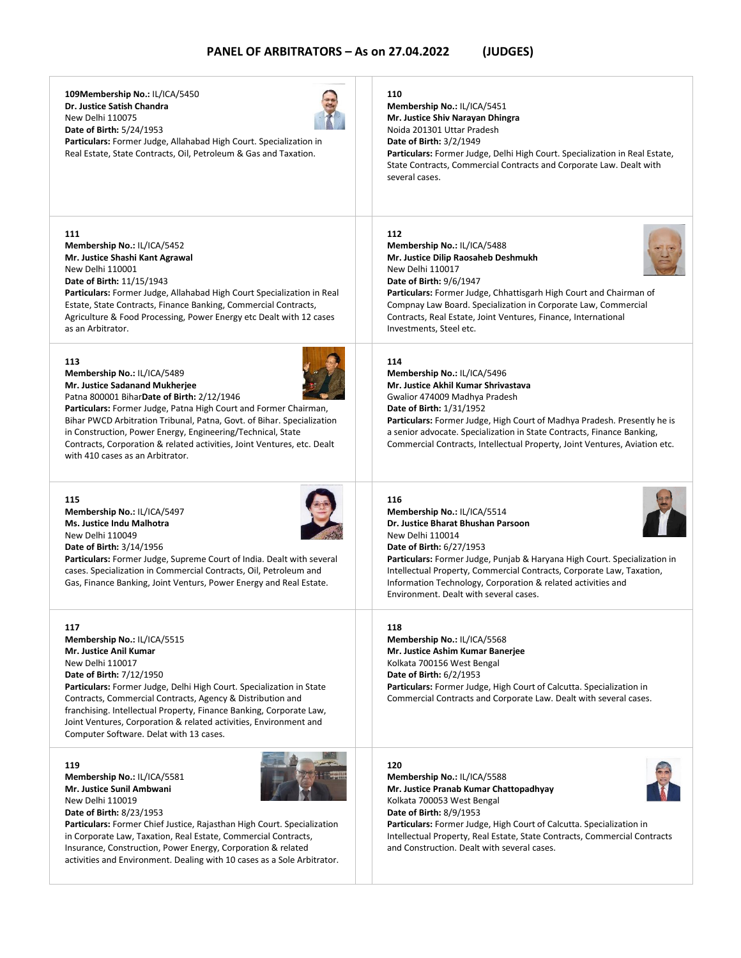**109Membership No.:** IL/ICA/5450 **Dr. Justice Satish Chandra** New Delhi 110075 **Date of Birth:** 5/24/1953 **Particulars:** Former Judge, Allahabad High Court. Specialization in Real Estate, State Contracts, Oil, Petroleum & Gas and Taxation. **110 Membership No.:** IL/ICA/5451 **Mr. Justice Shiv Narayan Dhingra** Noida 201301 Uttar Pradesh **Date of Birth:** 3/2/1949 **Particulars:** Former Judge, Delhi High Court. Specialization in Real Estate, State Contracts, Commercial Contracts and Corporate Law. Dealt with several cases. **111 Membership No.:** IL/ICA/5452 **Mr. Justice Shashi Kant Agrawal** New Delhi 110001 **Date of Birth:** 11/15/1943 **Particulars:** Former Judge, Allahabad High Court Specialization in Real Estate, State Contracts, Finance Banking, Commercial Contracts, Agriculture & Food Processing, Power Energy etc Dealt with 12 cases as an Arbitrator. **112 Membership No.:** IL/ICA/5488 **Mr. Justice Dilip Raosaheb Deshmukh** New Delhi 110017 **Date of Birth:** 9/6/1947 **Particulars:** Former Judge, Chhattisgarh High Court and Chairman of Compnay Law Board. Specialization in Corporate Law, Commercial Contracts, Real Estate, Joint Ventures, Finance, International Investments, Steel etc. **113 Membership No.:** IL/ICA/5489 **Mr. Justice Sadanand Mukherjee** Patna 800001 Bihar**Date of Birth:** 2/12/1946 **Particulars:** Former Judge, Patna High Court and Former Chairman, Bihar PWCD Arbitration Tribunal, Patna, Govt. of Bihar. Specialization in Construction, Power Energy, Engineering/Technical, State Contracts, Corporation & related activities, Joint Ventures, etc. Dealt with 410 cases as an Arbitrator. **114 Membership No.:** IL/ICA/5496 **Mr. Justice Akhil Kumar Shrivastava** Gwalior 474009 Madhya Pradesh **Date of Birth:** 1/31/1952 **Particulars:** Former Judge, High Court of Madhya Pradesh. Presently he is a senior advocate. Specialization in State Contracts, Finance Banking, Commercial Contracts, Intellectual Property, Joint Ventures, Aviation etc. **115 Membership No.:** IL/ICA/5497 **Ms. Justice Indu Malhotra** New Delhi 110049 **Date of Birth:** 3/14/1956 **Particulars:** Former Judge, Supreme Court of India. Dealt with several cases. Specialization in Commercial Contracts, Oil, Petroleum and Gas, Finance Banking, Joint Venturs, Power Energy and Real Estate. **116 Membership No.:** IL/ICA/5514 **Dr. Justice Bharat Bhushan Parsoon** New Delhi 110014 **Date of Birth:** 6/27/1953 **Particulars:** Former Judge, Punjab & Haryana High Court. Specialization in Intellectual Property, Commercial Contracts, Corporate Law, Taxation, Information Technology, Corporation & related activities and Environment. Dealt with several cases. **117 Membership No.:** IL/ICA/5515 **Mr. Justice Anil Kumar** New Delhi 110017 **Date of Birth:** 7/12/1950 **Particulars:** Former Judge, Delhi High Court. Specialization in State Contracts, Commercial Contracts, Agency & Distribution and franchising. Intellectual Property, Finance Banking, Corporate Law, Joint Ventures, Corporation & related activities, Environment and Computer Software. Delat with 13 cases. **118 Membership No.:** IL/ICA/5568 **Mr. Justice Ashim Kumar Banerjee** Kolkata 700156 West Bengal **Date of Birth:** 6/2/1953 **Particulars:** Former Judge, High Court of Calcutta. Specialization in Commercial Contracts and Corporate Law. Dealt with several cases. **119 Membership No.:** IL/ICA/5581 **Mr. Justice Sunil Ambwani** New Delhi 110019 **Date of Birth:** 8/23/1953 **120 Membership No.:** IL/ICA/5588 **Mr. Justice Pranab Kumar Chattopadhyay** Kolkata 700053 West Bengal **Date of Birth:** 8/9/1953

**Particulars:** Former Chief Justice, Rajasthan High Court. Specialization in Corporate Law, Taxation, Real Estate, Commercial Contracts, Insurance, Construction, Power Energy, Corporation & related activities and Environment. Dealing with 10 cases as a Sole Arbitrator. **Particulars:** Former Judge, High Court of Calcutta. Specialization in Intellectual Property, Real Estate, State Contracts, Commercial Contracts and Construction. Dealt with several cases.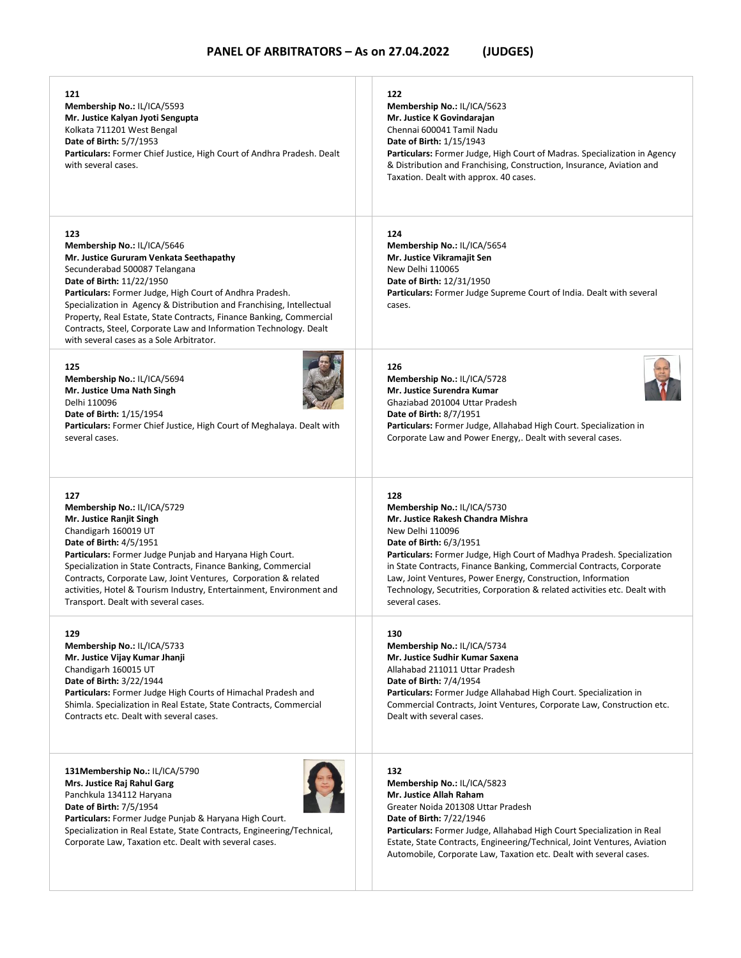| 121<br>Membership No.: IL/ICA/5593<br>Mr. Justice Kalyan Jyoti Sengupta<br>Kolkata 711201 West Bengal<br><b>Date of Birth: 5/7/1953</b><br>Particulars: Former Chief Justice, High Court of Andhra Pradesh. Dealt<br>with several cases.                                                                                                                                                                                                                                 | 122<br>Membership No.: IL/ICA/5623<br>Mr. Justice K Govindarajan<br>Chennai 600041 Tamil Nadu<br><b>Date of Birth: 1/15/1943</b><br>Particulars: Former Judge, High Court of Madras. Specialization in Agency<br>& Distribution and Franchising, Construction, Insurance, Aviation and<br>Taxation. Dealt with approx. 40 cases.                                   |
|--------------------------------------------------------------------------------------------------------------------------------------------------------------------------------------------------------------------------------------------------------------------------------------------------------------------------------------------------------------------------------------------------------------------------------------------------------------------------|--------------------------------------------------------------------------------------------------------------------------------------------------------------------------------------------------------------------------------------------------------------------------------------------------------------------------------------------------------------------|
| 123<br>Membership No.: IL/ICA/5646<br>Mr. Justice Gururam Venkata Seethapathy<br>Secunderabad 500087 Telangana<br>Date of Birth: 11/22/1950<br>Particulars: Former Judge, High Court of Andhra Pradesh.<br>Specialization in Agency & Distribution and Franchising, Intellectual<br>Property, Real Estate, State Contracts, Finance Banking, Commercial<br>Contracts, Steel, Corporate Law and Information Technology. Dealt<br>with several cases as a Sole Arbitrator. | 124<br>Membership No.: IL/ICA/5654<br>Mr. Justice Vikramajit Sen<br>New Delhi 110065<br>Date of Birth: 12/31/1950<br><b>Particulars:</b> Former Judge Supreme Court of India. Dealt with several<br>cases.                                                                                                                                                         |
| 125                                                                                                                                                                                                                                                                                                                                                                                                                                                                      | 126                                                                                                                                                                                                                                                                                                                                                                |
| Membership No.: IL/ICA/5694                                                                                                                                                                                                                                                                                                                                                                                                                                              | Membership No.: IL/ICA/5728                                                                                                                                                                                                                                                                                                                                        |
| Mr. Justice Uma Nath Singh                                                                                                                                                                                                                                                                                                                                                                                                                                               | Mr. Justice Surendra Kumar                                                                                                                                                                                                                                                                                                                                         |
| Delhi 110096                                                                                                                                                                                                                                                                                                                                                                                                                                                             | Ghaziabad 201004 Uttar Pradesh                                                                                                                                                                                                                                                                                                                                     |
| <b>Date of Birth: 1/15/1954</b>                                                                                                                                                                                                                                                                                                                                                                                                                                          | <b>Date of Birth: 8/7/1951</b>                                                                                                                                                                                                                                                                                                                                     |
| Particulars: Former Chief Justice, High Court of Meghalaya. Dealt with                                                                                                                                                                                                                                                                                                                                                                                                   | Particulars: Former Judge, Allahabad High Court. Specialization in                                                                                                                                                                                                                                                                                                 |
| several cases.                                                                                                                                                                                                                                                                                                                                                                                                                                                           | Corporate Law and Power Energy,. Dealt with several cases.                                                                                                                                                                                                                                                                                                         |
| 127                                                                                                                                                                                                                                                                                                                                                                                                                                                                      | 128                                                                                                                                                                                                                                                                                                                                                                |
| Membership No.: IL/ICA/5729                                                                                                                                                                                                                                                                                                                                                                                                                                              | Membership No.: IL/ICA/5730                                                                                                                                                                                                                                                                                                                                        |
| Mr. Justice Ranjit Singh                                                                                                                                                                                                                                                                                                                                                                                                                                                 | Mr. Justice Rakesh Chandra Mishra                                                                                                                                                                                                                                                                                                                                  |
| Chandigarh 160019 UT                                                                                                                                                                                                                                                                                                                                                                                                                                                     | New Delhi 110096                                                                                                                                                                                                                                                                                                                                                   |
| Date of Birth: 4/5/1951                                                                                                                                                                                                                                                                                                                                                                                                                                                  | Date of Birth: 6/3/1951                                                                                                                                                                                                                                                                                                                                            |
| Particulars: Former Judge Punjab and Haryana High Court.                                                                                                                                                                                                                                                                                                                                                                                                                 | Particulars: Former Judge, High Court of Madhya Pradesh. Specialization                                                                                                                                                                                                                                                                                            |
| Specialization in State Contracts, Finance Banking, Commercial                                                                                                                                                                                                                                                                                                                                                                                                           | in State Contracts, Finance Banking, Commercial Contracts, Corporate                                                                                                                                                                                                                                                                                               |
| Contracts, Corporate Law, Joint Ventures, Corporation & related                                                                                                                                                                                                                                                                                                                                                                                                          | Law, Joint Ventures, Power Energy, Construction, Information                                                                                                                                                                                                                                                                                                       |
| activities, Hotel & Tourism Industry, Entertainment, Environment and                                                                                                                                                                                                                                                                                                                                                                                                     | Technology, Secutrities, Corporation & related activities etc. Dealt with                                                                                                                                                                                                                                                                                          |
| Transport. Dealt with several cases.                                                                                                                                                                                                                                                                                                                                                                                                                                     | several cases.                                                                                                                                                                                                                                                                                                                                                     |
| 129                                                                                                                                                                                                                                                                                                                                                                                                                                                                      | 130                                                                                                                                                                                                                                                                                                                                                                |
| Membership No.: IL/ICA/5733                                                                                                                                                                                                                                                                                                                                                                                                                                              | Membership No.: IL/ICA/5734                                                                                                                                                                                                                                                                                                                                        |
| Mr. Justice Vijay Kumar Jhanji                                                                                                                                                                                                                                                                                                                                                                                                                                           | Mr. Justice Sudhir Kumar Saxena                                                                                                                                                                                                                                                                                                                                    |
| Chandigarh 160015 UT                                                                                                                                                                                                                                                                                                                                                                                                                                                     | Allahabad 211011 Uttar Pradesh                                                                                                                                                                                                                                                                                                                                     |
| Date of Birth: 3/22/1944                                                                                                                                                                                                                                                                                                                                                                                                                                                 | <b>Date of Birth: 7/4/1954</b>                                                                                                                                                                                                                                                                                                                                     |
| <b>Particulars:</b> Former Judge High Courts of Himachal Pradesh and                                                                                                                                                                                                                                                                                                                                                                                                     | Particulars: Former Judge Allahabad High Court. Specialization in                                                                                                                                                                                                                                                                                                  |
| Shimla. Specialization in Real Estate, State Contracts, Commercial                                                                                                                                                                                                                                                                                                                                                                                                       | Commercial Contracts, Joint Ventures, Corporate Law, Construction etc.                                                                                                                                                                                                                                                                                             |
| Contracts etc. Dealt with several cases.                                                                                                                                                                                                                                                                                                                                                                                                                                 | Dealt with several cases.                                                                                                                                                                                                                                                                                                                                          |
| 131Membership No.: IL/ICA/5790<br>Mrs. Justice Raj Rahul Garg<br>Panchkula 134112 Haryana<br>Date of Birth: 7/5/1954<br>Particulars: Former Judge Punjab & Haryana High Court.<br>Specialization in Real Estate, State Contracts, Engineering/Technical,<br>Corporate Law, Taxation etc. Dealt with several cases.                                                                                                                                                       | 132<br>Membership No.: IL/ICA/5823<br>Mr. Justice Allah Raham<br>Greater Noida 201308 Uttar Pradesh<br><b>Date of Birth: 7/22/1946</b><br>Particulars: Former Judge, Allahabad High Court Specialization in Real<br>Estate, State Contracts, Engineering/Technical, Joint Ventures, Aviation<br>Automobile, Corporate Law, Taxation etc. Dealt with several cases. |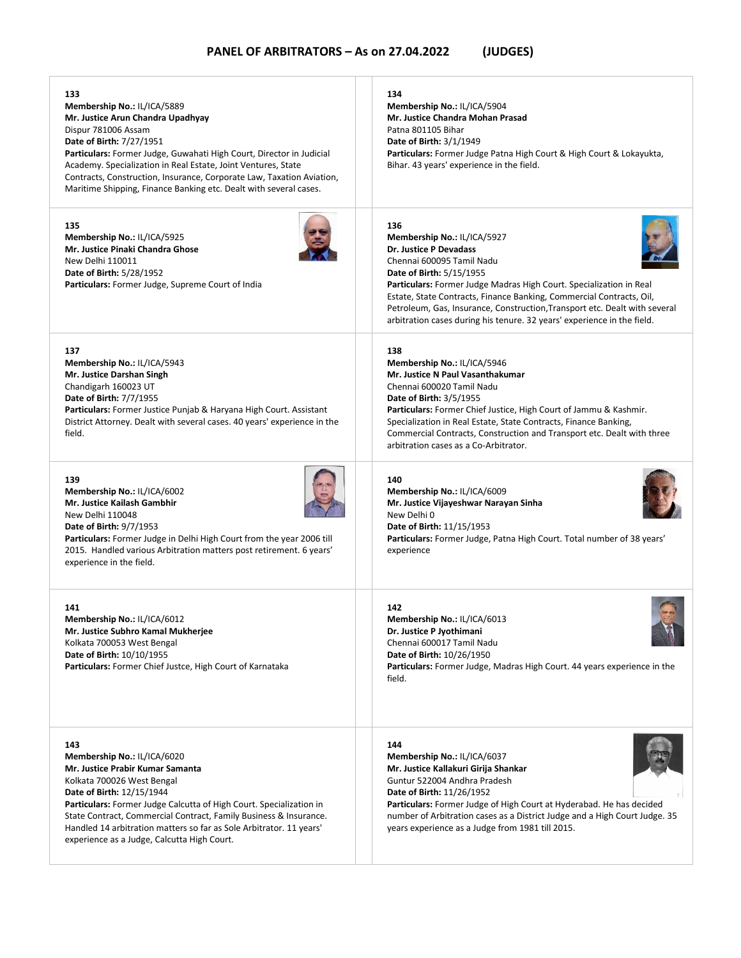| 133<br>Membership No.: IL/ICA/5889<br>Mr. Justice Arun Chandra Upadhyay<br>Dispur 781006 Assam<br>Date of Birth: 7/27/1951<br>Particulars: Former Judge, Guwahati High Court, Director in Judicial<br>Academy. Specialization in Real Estate, Joint Ventures, State<br>Contracts, Construction, Insurance, Corporate Law, Taxation Aviation,<br>Maritime Shipping, Finance Banking etc. Dealt with several cases. | 134<br>Membership No.: IL/ICA/5904<br>Mr. Justice Chandra Mohan Prasad<br>Patna 801105 Bihar<br>Date of Birth: 3/1/1949<br><b>Particulars:</b> Former Judge Patna High Court & High Court & Lokayukta,<br>Bihar. 43 years' experience in the field.                                                                                                                                                                                  |
|-------------------------------------------------------------------------------------------------------------------------------------------------------------------------------------------------------------------------------------------------------------------------------------------------------------------------------------------------------------------------------------------------------------------|--------------------------------------------------------------------------------------------------------------------------------------------------------------------------------------------------------------------------------------------------------------------------------------------------------------------------------------------------------------------------------------------------------------------------------------|
| 135<br>Membership No.: IL/ICA/5925<br>Mr. Justice Pinaki Chandra Ghose<br>New Delhi 110011<br><b>Date of Birth: 5/28/1952</b><br><b>Particulars:</b> Former Judge, Supreme Court of India                                                                                                                                                                                                                         | 136<br>Membership No.: IL/ICA/5927<br>Dr. Justice P Devadass<br>Chennai 600095 Tamil Nadu<br><b>Date of Birth: 5/15/1955</b><br>Particulars: Former Judge Madras High Court. Specialization in Real<br>Estate, State Contracts, Finance Banking, Commercial Contracts, Oil,<br>Petroleum, Gas, Insurance, Construction, Transport etc. Dealt with several<br>arbitration cases during his tenure. 32 years' experience in the field. |
| 137<br>Membership No.: IL/ICA/5943<br>Mr. Justice Darshan Singh<br>Chandigarh 160023 UT<br><b>Date of Birth: 7/7/1955</b><br>Particulars: Former Justice Punjab & Haryana High Court. Assistant<br>District Attorney. Dealt with several cases. 40 years' experience in the<br>field.                                                                                                                             | 138<br>Membership No.: IL/ICA/5946<br>Mr. Justice N Paul Vasanthakumar<br>Chennai 600020 Tamil Nadu<br><b>Date of Birth: 3/5/1955</b><br><b>Particulars:</b> Former Chief Justice, High Court of Jammu & Kashmir.<br>Specialization in Real Estate, State Contracts, Finance Banking,<br>Commercial Contracts, Construction and Transport etc. Dealt with three<br>arbitration cases as a Co-Arbitrator.                             |
| 139<br>Membership No.: IL/ICA/6002<br>Mr. Justice Kailash Gambhir<br>New Delhi 110048<br><b>Date of Birth: 9/7/1953</b><br><b>Particulars:</b> Former Judge in Delhi High Court from the year 2006 till<br>2015. Handled various Arbitration matters post retirement. 6 years'<br>experience in the field.                                                                                                        | 140<br>Membership No.: IL/ICA/6009<br>Mr. Justice Vijayeshwar Narayan Sinha<br>New Delhi 0<br>Date of Birth: 11/15/1953<br>Particulars: Former Judge, Patna High Court. Total number of 38 years'<br>experience                                                                                                                                                                                                                      |
| 141<br>Membership No.: IL/ICA/6012<br>Mr. Justice Subhro Kamal Mukherjee<br>Kolkata 700053 West Bengal<br>Date of Birth: 10/10/1955<br><b>Particulars:</b> Former Chief Justce, High Court of Karnataka                                                                                                                                                                                                           | 142<br>Membership No.: IL/ICA/6013<br>Dr. Justice P Jyothimani<br>Chennai 600017 Tamil Nadu<br>Date of Birth: 10/26/1950<br><b>Particulars:</b> Former Judge, Madras High Court. 44 years experience in the<br>field.                                                                                                                                                                                                                |
| 143<br>Membership No.: IL/ICA/6020<br>Mr. Justice Prabir Kumar Samanta<br>Kolkata 700026 West Bengal<br>Date of Birth: 12/15/1944<br>Particulars: Former Judge Calcutta of High Court. Specialization in<br>State Contract, Commercial Contract, Family Business & Insurance.<br>Handled 14 arbitration matters so far as Sole Arbitrator. 11 years'<br>experience as a Judge, Calcutta High Court.               | 144<br>Membership No.: IL/ICA/6037<br>Mr. Justice Kallakuri Girija Shankar<br>Guntur 522004 Andhra Pradesh<br>Date of Birth: 11/26/1952<br>Particulars: Former Judge of High Court at Hyderabad. He has decided<br>number of Arbitration cases as a District Judge and a High Court Judge. 35<br>years experience as a Judge from 1981 till 2015.                                                                                    |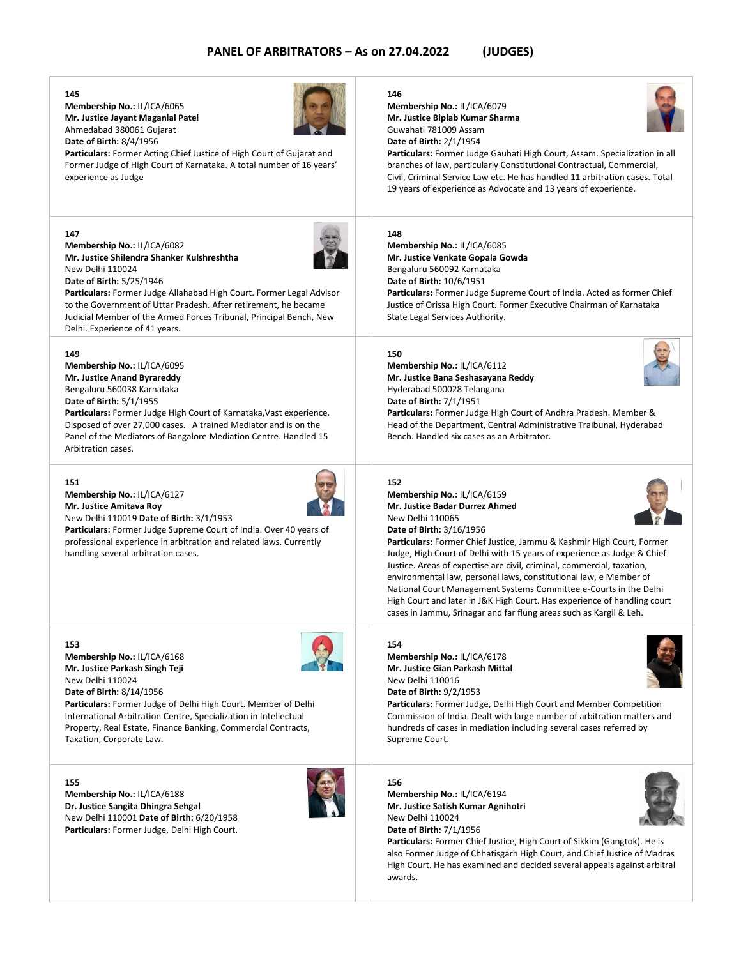#### **145**

**Membership No.:** IL/ICA/6065 **Mr. Justice Jayant Maganlal Patel** Ahmedabad 380061 Gujarat **Date of Birth:** 8/4/1956



**Particulars:** Former Acting Chief Justice of High Court of Gujarat and Former Judge of High Court of Karnataka. A total number of 16 years' experience as Judge

#### **147**

**Membership No.:** IL/ICA/6082 **Mr. Justice Shilendra Shanker Kulshreshtha** New Delhi 110024 **Date of Birth:** 5/25/1946



**Particulars:** Former Judge Allahabad High Court. Former Legal Advisor to the Government of Uttar Pradesh. After retirement, he became Judicial Member of the Armed Forces Tribunal, Principal Bench, New Delhi. Experience of 41 years.

#### **149**

**Membership No.:** IL/ICA/6095 **Mr. Justice Anand Byrareddy** Bengaluru 560038 Karnataka **Date of Birth:** 5/1/1955 **Particulars:** Former Judge High Court of Karnataka,Vast experience. Disposed of over 27,000 cases. A trained Mediator and is on the Panel of the Mediators of Bangalore Mediation Centre. Handled 15

#### **151**

Arbitration cases.

**Membership No.:** IL/ICA/6127 **Mr. Justice Amitava Roy** New Delhi 110019 **Date of Birth:** 3/1/1953

**Particulars:** Former Judge Supreme Court of India. Over 40 years of professional experience in arbitration and related laws. Currently handling several arbitration cases.

#### **153**

**Membership No.:** IL/ICA/6168 **Mr. Justice Parkash Singh Teji** New Delhi 110024 **Date of Birth:** 8/14/1956 **Particulars:** Former Judge of Delhi High Court. Member of Delhi International Arbitration Centre, Specialization in Intellectual Property, Real Estate, Finance Banking, Commercial Contracts,

**155**

Taxation, Corporate Law.

**Membership No.:** IL/ICA/6188 **Dr. Justice Sangita Dhingra Sehgal** New Delhi 110001 **Date of Birth:** 6/20/1958 **Particulars:** Former Judge, Delhi High Court.



#### **146**

**Membership No.:** IL/ICA/6079 **Mr. Justice Biplab Kumar Sharma** Guwahati 781009 Assam **Date of Birth:** 2/1/1954



**Particulars:** Former Judge Gauhati High Court, Assam. Specialization in all branches of law, particularly Constitutional Contractual, Commercial, Civil, Criminal Service Law etc. He has handled 11 arbitration cases. Total 19 years of experience as Advocate and 13 years of experience.

#### **148**

**Membership No.:** IL/ICA/6085 **Mr. Justice Venkate Gopala Gowda** Bengaluru 560092 Karnataka **Date of Birth:** 10/6/1951 **Particulars:** Former Judge Supreme Court of India. Acted as former Chief Justice of Orissa High Court. Former Executive Chairman of Karnataka State Legal Services Authority.

#### **150**

**Membership No.:** IL/ICA/6112 **Mr. Justice Bana Seshasayana Reddy** Hyderabad 500028 Telangana **Date of Birth:** 7/1/1951



**Particulars:** Former Judge High Court of Andhra Pradesh. Member & Head of the Department, Central Administrative Traibunal, Hyderabad Bench. Handled six cases as an Arbitrator.

## **152**

**Membership No.:** IL/ICA/6159 **Mr. Justice Badar Durrez Ahmed** New Delhi 110065 **Date of Birth:** 3/16/1956



**Particulars:** Former Chief Justice, Jammu & Kashmir High Court, Former Judge, High Court of Delhi with 15 years of experience as Judge & Chief Justice. Areas of expertise are civil, criminal, commercial, taxation, environmental law, personal laws, constitutional law, e Member of National Court Management Systems Committee e-Courts in the Delhi High Court and later in J&K High Court. Has experience of handling court cases in Jammu, Srinagar and far flung areas such as Kargil & Leh.

#### **154**

**Membership No.:** IL/ICA/6178 **Mr. Justice Gian Parkash Mittal** New Delhi 110016 **Date of Birth:** 9/2/1953



**Particulars:** Former Judge, Delhi High Court and Member Competition Commission of India. Dealt with large number of arbitration matters and hundreds of cases in mediation including several cases referred by Supreme Court.

#### **156**

**Membership No.:** IL/ICA/6194 **Mr. Justice Satish Kumar Agnihotri** New Delhi 110024 **Date of Birth:** 7/1/1956

**Particulars:** Former Chief Justice, High Court of Sikkim (Gangtok). He is also Former Judge of Chhatisgarh High Court, and Chief Justice of Madras High Court. He has examined and decided several appeals against arbitral awards.

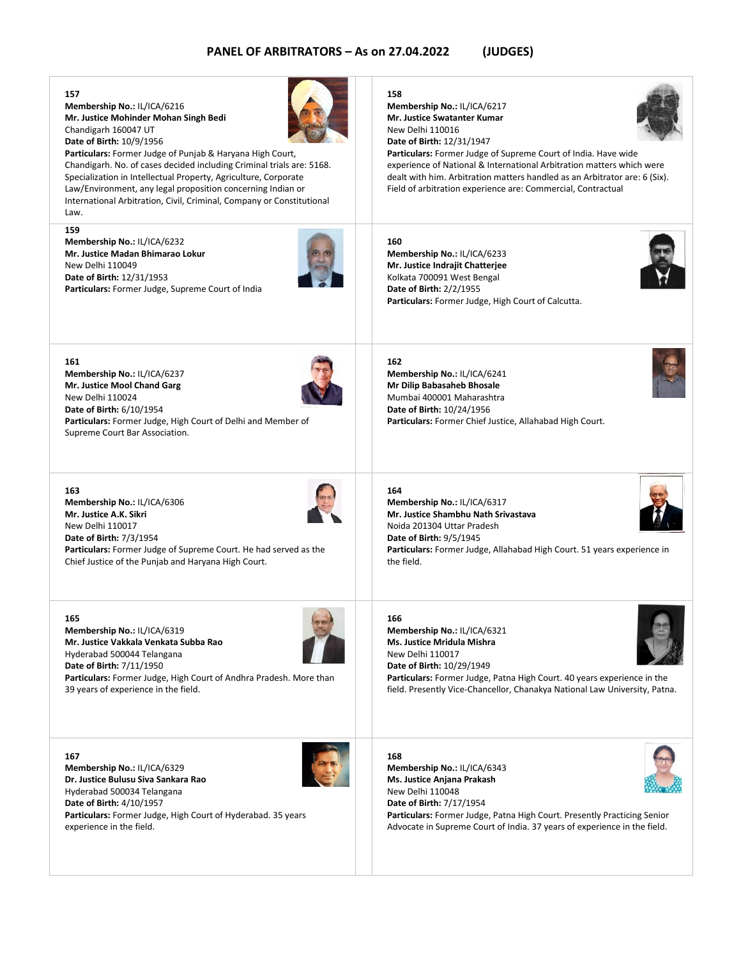

**Membership No.:** IL/ICA/6329 **Dr. Justice Bulusu Siva Sankara Rao** Hyderabad 500034 Telangana **Date of Birth:** 4/10/1957 **Particulars:** Former Judge, High Court of Hyderabad. 35 years experience in the field.

**Ms. Justice Anjana Prakash** New Delhi 110048 **Date of Birth:** 7/17/1954 **Particulars:** Former Judge, Patna High Court. Presently Practicing Senior Advocate in Supreme Court of India. 37 years of experience in the field.

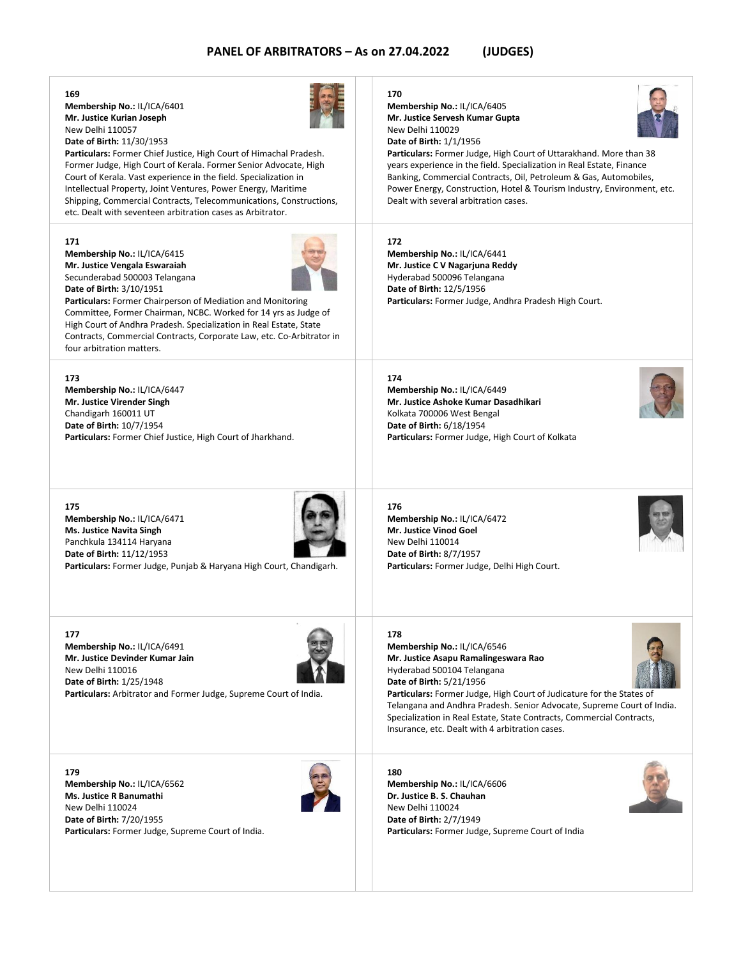#### **169**

**Membership No.:** IL/ICA/6401 **Mr. Justice Kurian Joseph** New Delhi 110057 **Date of Birth:** 11/30/1953

**Particulars:** Former Chief Justice, High Court of Himachal Pradesh. Former Judge, High Court of Kerala. Former Senior Advocate, High Court of Kerala. Vast experience in the field. Specialization in Intellectual Property, Joint Ventures, Power Energy, Maritime Shipping, Commercial Contracts, Telecommunications, Constructions,

etc. Dealt with seventeen arbitration cases as Arbitrator.

#### **171**

**Membership No.:** IL/ICA/6415 **Mr. Justice Vengala Eswaraiah** Secunderabad 500003 Telangana **Date of Birth:** 3/10/1951



**Particulars:** Former Chairperson of Mediation and Monitoring Committee, Former Chairman, NCBC. Worked for 14 yrs as Judge of High Court of Andhra Pradesh. Specialization in Real Estate, State Contracts, Commercial Contracts, Corporate Law, etc. Co-Arbitrator in four arbitration matters.

#### **173**

**Membership No.:** IL/ICA/6447 **Mr. Justice Virender Singh** Chandigarh 160011 UT **Date of Birth:** 10/7/1954 **Particulars:** Former Chief Justice, High Court of Jharkhand.

#### **175**

**Membership No.:** IL/ICA/6471 **Ms. Justice Navita Singh** Panchkula 134114 Haryana **Date of Birth:** 11/12/1953



**Particulars:** Former Judge, Punjab & Haryana High Court, Chandigarh.

**177 Membership No.:** IL/ICA/6491 **Mr. Justice Devinder Kumar Jain** New Delhi 110016 **Date of Birth:** 1/25/1948 **Particulars:** Arbitrator and Former Judge, Supreme Court of India.

**179 Membership No.:** IL/ICA/6562 **Ms. Justice R Banumathi** New Delhi 110024 **Date of Birth:** 7/20/1955 **Particulars:** Former Judge, Supreme Court of India.



#### **170**

**Membership No.:** IL/ICA/6405 **Mr. Justice Servesh Kumar Gupta** New Delhi 110029 **Date of Birth:** 1/1/1956



**Particulars:** Former Judge, High Court of Uttarakhand. More than 38 years experience in the field. Specialization in Real Estate, Finance Banking, Commercial Contracts, Oil, Petroleum & Gas, Automobiles, Power Energy, Construction, Hotel & Tourism Industry, Environment, etc. Dealt with several arbitration cases.

#### **172**

**Membership No.:** IL/ICA/6441 **Mr. Justice C V Nagarjuna Reddy** Hyderabad 500096 Telangana **Date of Birth:** 12/5/1956 **Particulars:** Former Judge, Andhra Pradesh High Court.

#### **174**

**Membership No.:** IL/ICA/6449 **Mr. Justice Ashoke Kumar Dasadhikari** Kolkata 700006 West Bengal **Date of Birth:** 6/18/1954 **Particulars:** Former Judge, High Court of Kolkata

**176**

**Membership No.:** IL/ICA/6472 **Mr. Justice Vinod Goel** New Delhi 110014 **Date of Birth:** 8/7/1957 **Particulars:** Former Judge, Delhi High Court.

#### **178**

**Membership No.:** IL/ICA/6546 **Mr. Justice Asapu Ramalingeswara Rao** Hyderabad 500104 Telangana **Date of Birth:** 5/21/1956



**Particulars:** Former Judge, High Court of Judicature for the States of Telangana and Andhra Pradesh. Senior Advocate, Supreme Court of India. Specialization in Real Estate, State Contracts, Commercial Contracts, Insurance, etc. Dealt with 4 arbitration cases.

#### **180**

**Membership No.:** IL/ICA/6606 **Dr. Justice B. S. Chauhan** New Delhi 110024 **Date of Birth:** 2/7/1949 **Particulars:** Former Judge, Supreme Court of India

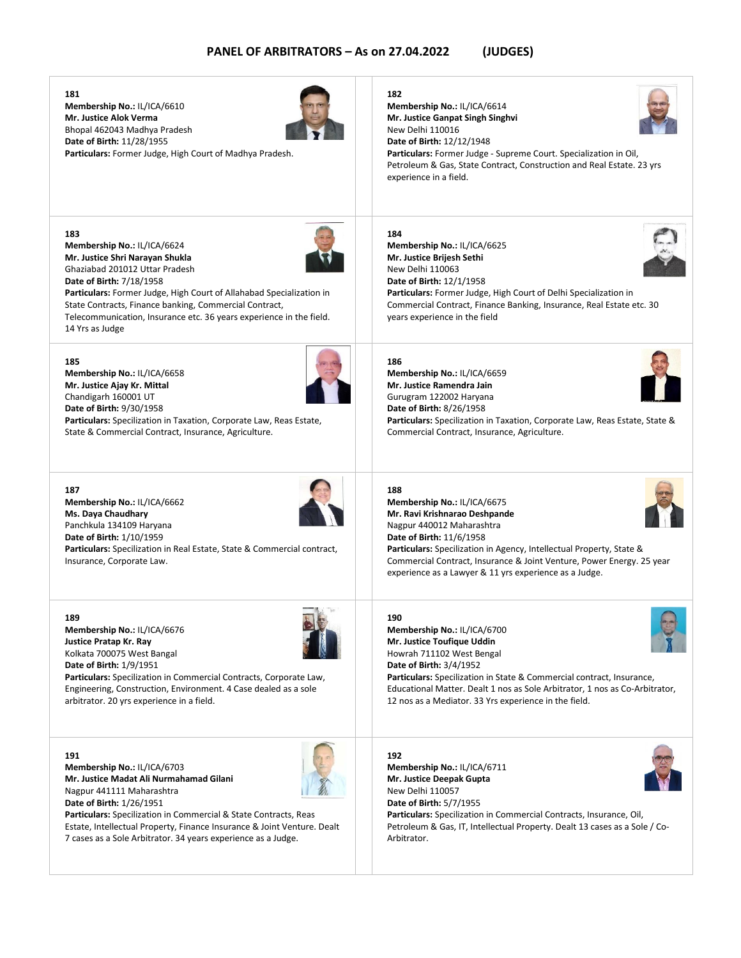**Membership No.:** IL/ICA/6610 **Mr. Justice Alok Verma** Bhopal 462043 Madhya Pradesh **Date of Birth:** 11/28/1955 **Particulars:** Former Judge, High Court of Madhya Pradesh. **182 Membership No.:** IL/ICA/6614 **Mr. Justice Ganpat Singh Singhvi** New Delhi 110016 **Date of Birth:** 12/12/1948 **Particulars:** Former Judge - Supreme Court. Specialization in Oil, Petroleum & Gas, State Contract, Construction and Real Estate. 23 yrs experience in a field. **Membership No.:** IL/ICA/6624 **Mr. Justice Shri Narayan Shukla** Ghaziabad 201012 Uttar Pradesh **Date of Birth:** 7/18/1958 **Particulars:** Former Judge, High Court of Allahabad Specialization in State Contracts, Finance banking, Commercial Contract, Telecommunication, Insurance etc. 36 years experience in the field. 14 Yrs as Judge **184 Membership No.:** IL/ICA/6625 **Mr. Justice Brijesh Sethi** New Delhi 110063 **Date of Birth:** 12/1/1958 **Particulars:** Former Judge, High Court of Delhi Specialization in Commercial Contract, Finance Banking, Insurance, Real Estate etc. 30 years experience in the field **Membership No.:** IL/ICA/6658 **186 Membership No.:** IL/ICA/6659

Chandigarh 160001 UT **Date of Birth:** 9/30/1958 **Particulars:** Specilization in Taxation, Corporate Law, Reas Estate, State & Commercial Contract, Insurance, Agriculture.

#### **187**

**181**

**183**

**185**

**Mr. Justice Ajay Kr. Mittal**

**Membership No.:** IL/ICA/6662 **Ms. Daya Chaudhary** Panchkula 134109 Haryana **Date of Birth:** 1/10/1959 **Particulars:** Specilization in Real Estate, State & Commercial contract, Insurance, Corporate Law.

**189**

**Membership No.:** IL/ICA/6676 **Justice Pratap Kr. Ray** Kolkata 700075 West Bangal **Date of Birth:** 1/9/1951

**Particulars:** Specilization in Commercial Contracts, Corporate Law, Engineering, Construction, Environment. 4 Case dealed as a sole arbitrator. 20 yrs experience in a field.

#### **191**

**Membership No.:** IL/ICA/6703 **Mr. Justice Madat Ali Nurmahamad Gilani** Nagpur 441111 Maharashtra **Date of Birth:** 1/26/1951

**Particulars:** Specilization in Commercial & State Contracts, Reas Estate, Intellectual Property, Finance Insurance & Joint Venture. Dealt 7 cases as a Sole Arbitrator. 34 years experience as a Judge.

#### **188**

**Mr. Ravi Krishnarao Deshpande** Nagpur 440012 Maharashtra **Date of Birth:** 11/6/1958 Commercial Contract, Insurance & Joint Venture, Power Energy. 25 year

#### **190**

**Membership No.:** IL/ICA/6700 **Mr. Justice Toufique Uddin** Howrah 711102 West Bengal **Date of Birth:** 3/4/1952

**Particulars:** Specilization in State & Commercial contract, Insurance, Educational Matter. Dealt 1 nos as Sole Arbitrator, 1 nos as Co-Arbitrator,

## **192**

**Membership No.:** IL/ICA/6711 **Mr. Justice Deepak Gupta** New Delhi 110057 **Date of Birth:** 5/7/1955 **Particulars:** Specilization in Commercial Contracts, Insurance, Oil, Petroleum & Gas, IT, Intellectual Property. Dealt 13 cases as a Sole / Co-**Arhitrator** 

#### **Mr. Justice Ramendra Jain** Gurugram 122002 Haryana **Date of Birth:** 8/26/1958 **Particulars:** Specilization in Taxation, Corporate Law, Reas Estate, State & Commercial Contract, Insurance, Agriculture.

experience as a Lawyer & 11 yrs experience as a Judge.

12 nos as a Mediator. 33 Yrs experience in the field.

**Membership No.:** IL/ICA/6675 **Particulars:** Specilization in Agency, Intellectual Property, State &











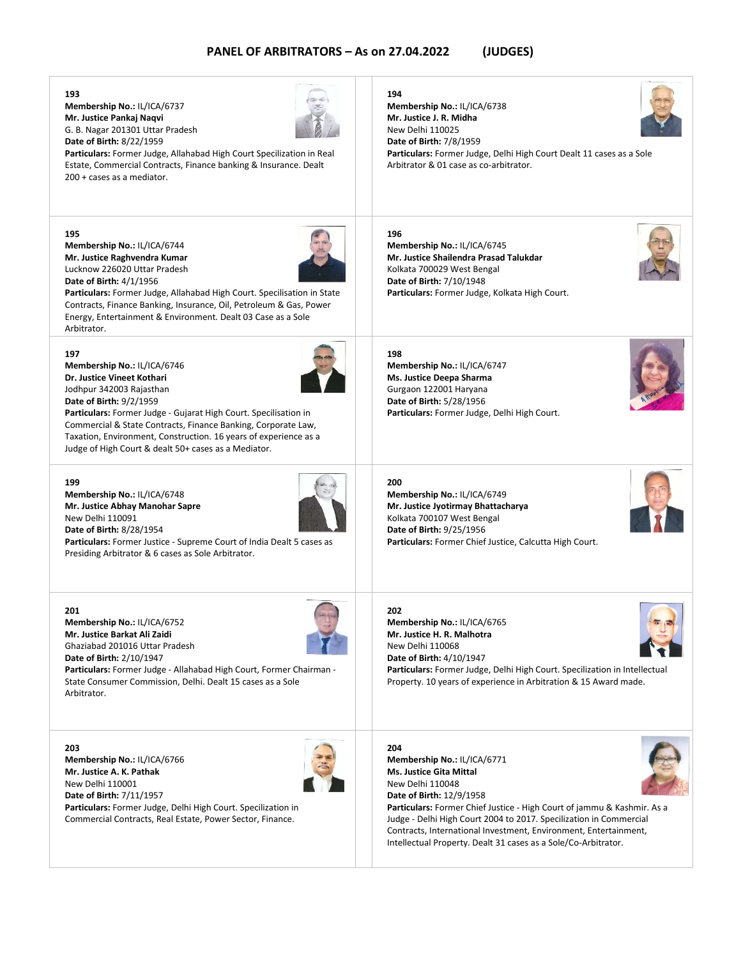**Membership No.:** IL/ICA/6737 **Mr. Justice Pankaj Naqvi** G. B. Nagar 201301 Uttar Pradesh **Date of Birth:** 8/22/1959



**Particulars:** Former Judge, Allahabad High Court Specilization in Real Estate, Commercial Contracts, Finance banking & Insurance. Dealt 200 + cases as a mediator.

#### **195**

**193**

**Membership No.:** IL/ICA/6744 **Mr. Justice Raghvendra Kumar** Lucknow 226020 Uttar Pradesh **Date of Birth:** 4/1/1956



**Particulars:** Former Judge, Allahabad High Court. Specilisation in State Contracts, Finance Banking, Insurance, Oil, Petroleum & Gas, Power Energy, Entertainment & Environment. Dealt 03 Case as a Sole Arbitrator.

#### **197**

**Membership No.:** IL/ICA/6746 **Dr. Justice Vineet Kothari** Jodhpur 342003 Rajasthan **Date of Birth:** 9/2/1959

**Particulars:** Former Judge - Gujarat High Court. Specilisation in Commercial & State Contracts, Finance Banking, Corporate Law, Taxation, Environment, Construction. 16 years of experience as a Judge of High Court & dealt 50+ cases as a Mediator.

#### **199**

**Membership No.:** IL/ICA/6748 **Mr. Justice Abhay Manohar Sapre** New Delhi 110091 **Date of Birth:** 8/28/1954

**Particulars:** Former Justice - Supreme Court of India Dealt 5 cases as Presiding Arbitrator & 6 cases as Sole Arbitrator.

**201 Membership No.:** IL/ICA/6752 **Mr. Justice Barkat Ali Zaidi** Ghaziabad 201016 Uttar Pradesh **Date of Birth:** 2/10/1947

**Particulars:** Former Judge - Allahabad High Court, Former Chairman - State Consumer Commission, Delhi. Dealt 15 cases as a Sole Arbitrator.

**203**

**Membership No.:** IL/ICA/6766 **Mr. Justice A. K. Pathak** New Delhi 110001 **Date of Birth:** 7/11/1957 **Particulars:** Former Judge, Delhi High Court. Specilization in Commercial Contracts, Real Estate, Power Sector, Finance.



# **194**

**Membership No.:** IL/ICA/6738 **Mr. Justice J. R. Midha** New Delhi 110025 **Date of Birth:** 7/8/1959 **Particulars:** Former Judge, Delhi High Court Dealt 11 cases as a Sole Arbitrator & 01 case as co-arbitrator.

**196 Membership No.:** IL/ICA/6745 **Mr. Justice Shailendra Prasad Talukdar** Kolkata 700029 West Bengal **Date of Birth:** 7/10/1948 **Particulars:** Former Judge, Kolkata High Court.

**198 Membership No.:** IL/ICA/6747 **Ms. Justice Deepa Sharma** Gurgaon 122001 Haryana **Date of Birth:** 5/28/1956 **Particulars:** Former Judge, Delhi High Court.



**Membership No.:** IL/ICA/6749 **Mr. Justice Jyotirmay Bhattacharya** Kolkata 700107 West Bengal **Date of Birth:** 9/25/1956 **Particulars:** Former Chief Justice, Calcutta High Court.

#### **202**

**Membership No.:** IL/ICA/6765 **Mr. Justice H. R. Malhotra** New Delhi 110068 **Date of Birth:** 4/10/1947 **Particulars:** Former Judge, Delhi High Court. Specilization in Intellectual Property. 10 years of experience in Arbitration & 15 Award made.

#### **204**

**Membership No.:** IL/ICA/6771 **Ms. Justice Gita Mittal** New Delhi 110048 **Date of Birth:** 12/9/1958